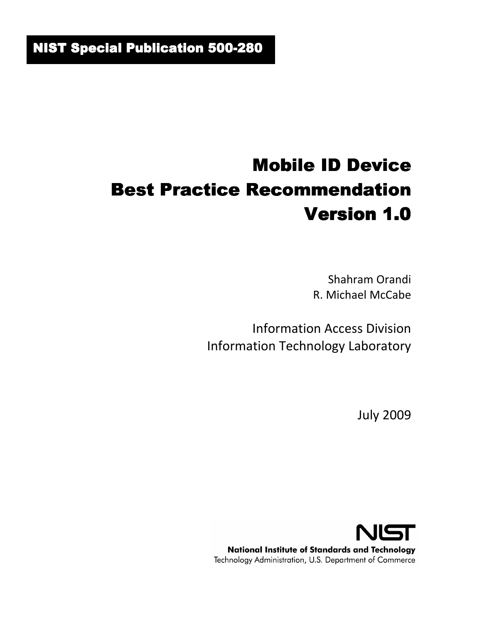# Mobile ID Device Best Practice Recommendation Version 1.0

Shahram Orandi R. Michael McCabe

Information Access Division Information Technology Laboratory

July 2009

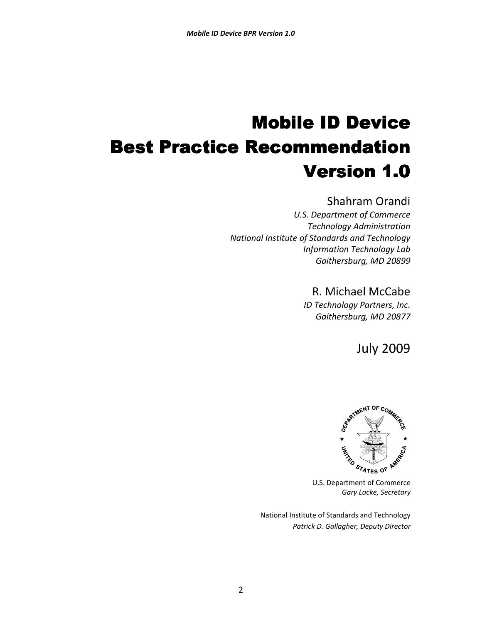# Mobile ID Device Best Practice Recommendation Version 1.0

#### Shahram Orandi

*U.S. Department of Commerce Technology Administration National Institute of Standards and Technology Information Technology Lab Gaithersburg, MD 20899* 

### R. Michael McCabe

*ID Technology Partners, Inc. Gaithersburg, MD 20877* 

July 2009



*Gary Locke, Secretary* 

National Institute of Standards and Technology  *Patrick D. Gallagher, Deputy Director*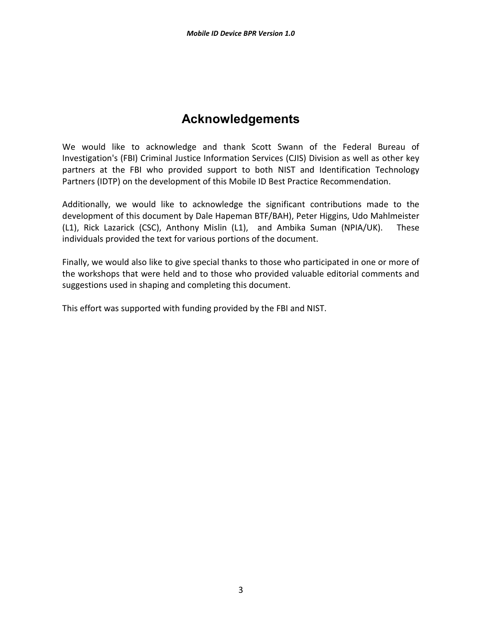# **Acknowledgements**

We would like to acknowledge and thank Scott Swann of the Federal Bureau of Investigation's (FBI) Criminal Justice Information Services (CJIS) Division as well as other key partners at the FBI who provided support to both NIST and Identification Technology Partners (IDTP) on the development of this Mobile ID Best Practice Recommendation.

Additionally, we would like to acknowledge the significant contributions made to the development of this document by Dale Hapeman BTF/BAH), Peter Higgins, Udo Mahlmeister (L1), Rick Lazarick (CSC), Anthony Mislin (L1), and Ambika Suman (NPIA/UK). These individuals provided the text for various portions of the document.

Finally, we would also like to give special thanks to those who participated in one or more of the workshops that were held and to those who provided valuable editorial comments and suggestions used in shaping and completing this document.

This effort was supported with funding provided by the FBI and NIST.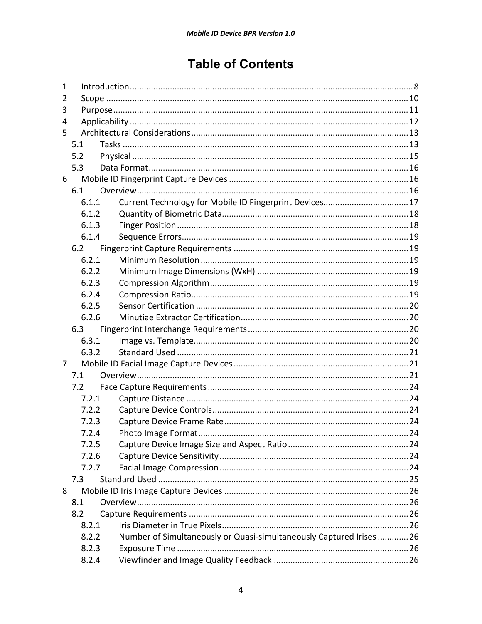# **Table of Contents**

| 1 |       |                                                                     |  |  |
|---|-------|---------------------------------------------------------------------|--|--|
| 2 |       |                                                                     |  |  |
| 3 |       |                                                                     |  |  |
| 4 |       |                                                                     |  |  |
| 5 |       |                                                                     |  |  |
|   | 5.1   |                                                                     |  |  |
|   | 5.2   |                                                                     |  |  |
|   | 5.3   |                                                                     |  |  |
| 6 |       |                                                                     |  |  |
|   | 6.1   |                                                                     |  |  |
|   | 6.1.1 | Current Technology for Mobile ID Fingerprint Devices 17             |  |  |
|   | 6.1.2 |                                                                     |  |  |
|   | 6.1.3 |                                                                     |  |  |
|   | 6.1.4 |                                                                     |  |  |
|   | 6.2   |                                                                     |  |  |
|   | 6.2.1 |                                                                     |  |  |
|   | 6.2.2 |                                                                     |  |  |
|   | 6.2.3 |                                                                     |  |  |
|   | 6.2.4 |                                                                     |  |  |
|   | 6.2.5 |                                                                     |  |  |
|   | 6.2.6 |                                                                     |  |  |
|   | 6.3   |                                                                     |  |  |
|   | 6.3.1 |                                                                     |  |  |
|   | 6.3.2 |                                                                     |  |  |
| 7 |       |                                                                     |  |  |
|   | 7.1   |                                                                     |  |  |
|   | 7.2   |                                                                     |  |  |
|   | 7.2.1 |                                                                     |  |  |
|   | 7.2.2 |                                                                     |  |  |
|   | 7.2.3 |                                                                     |  |  |
|   | 724   |                                                                     |  |  |
|   | 7.2.5 |                                                                     |  |  |
|   | 7.2.6 |                                                                     |  |  |
|   | 7.2.7 |                                                                     |  |  |
|   | 7.3   |                                                                     |  |  |
| 8 |       |                                                                     |  |  |
|   | 8.1   |                                                                     |  |  |
|   | 8.2   |                                                                     |  |  |
|   | 8.2.1 |                                                                     |  |  |
|   | 8.2.2 | Number of Simultaneously or Quasi-simultaneously Captured Irises 26 |  |  |
|   | 8.2.3 |                                                                     |  |  |
|   | 8.2.4 |                                                                     |  |  |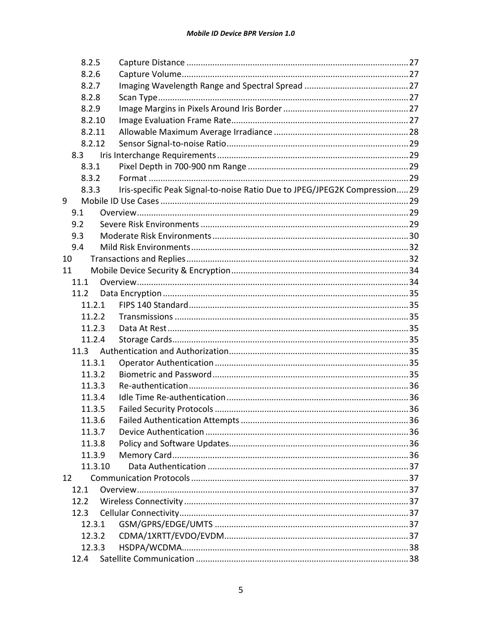| 8.2.5 |         |                                                                            |  |
|-------|---------|----------------------------------------------------------------------------|--|
| 8.2.6 |         |                                                                            |  |
| 8.2.7 |         |                                                                            |  |
| 8.2.8 |         |                                                                            |  |
|       | 8.2.9   |                                                                            |  |
|       | 8.2.10  |                                                                            |  |
|       | 8.2.11  |                                                                            |  |
|       | 8.2.12  |                                                                            |  |
|       | 8.3     |                                                                            |  |
|       | 8.3.1   |                                                                            |  |
|       | 8.3.2   |                                                                            |  |
|       | 8.3.3   | Iris-specific Peak Signal-to-noise Ratio Due to JPEG/JPEG2K Compression 29 |  |
| 9     |         |                                                                            |  |
| 9.1   |         |                                                                            |  |
| 9.2   |         |                                                                            |  |
| 9.3   |         |                                                                            |  |
| 9.4   |         |                                                                            |  |
| 10    |         |                                                                            |  |
| 11    |         |                                                                            |  |
|       | 11.1    |                                                                            |  |
|       | 11.2    |                                                                            |  |
|       | 11.2.1  |                                                                            |  |
|       | 11.2.2  |                                                                            |  |
|       | 11.2.3  |                                                                            |  |
|       | 11.2.4  |                                                                            |  |
|       |         |                                                                            |  |
|       | 11.3.1  |                                                                            |  |
|       | 11.3.2  |                                                                            |  |
|       | 11.3.3  |                                                                            |  |
|       | 11.3.4  |                                                                            |  |
|       | 11.3.5  |                                                                            |  |
|       | 11.3.6  |                                                                            |  |
|       | 11.3.7  |                                                                            |  |
|       | 11.3.8  |                                                                            |  |
|       | 11.3.9  |                                                                            |  |
|       | 11.3.10 |                                                                            |  |
| 12    |         |                                                                            |  |
|       | 12.1    |                                                                            |  |
|       | 12.2    |                                                                            |  |
|       | 12.3    |                                                                            |  |
|       | 12.3.1  |                                                                            |  |
|       | 12.3.2  |                                                                            |  |
|       | 12.3.3  |                                                                            |  |
|       |         |                                                                            |  |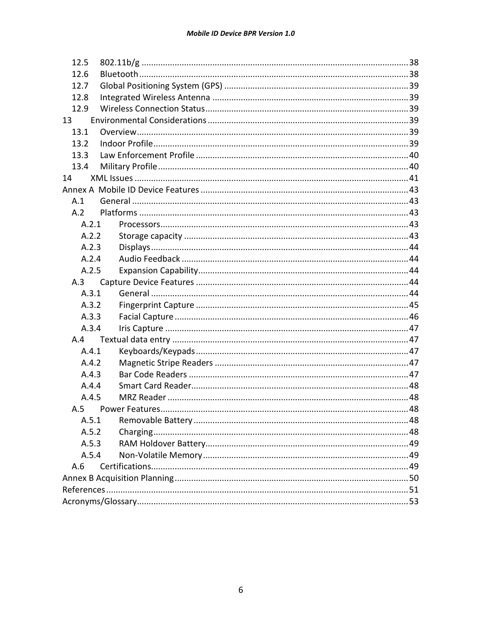| 12.5  |  |  |  |  |  |
|-------|--|--|--|--|--|
| 12.6  |  |  |  |  |  |
| 12.7  |  |  |  |  |  |
| 12.8  |  |  |  |  |  |
| 12.9  |  |  |  |  |  |
| 13    |  |  |  |  |  |
| 13.1  |  |  |  |  |  |
| 13.2  |  |  |  |  |  |
| 13.3  |  |  |  |  |  |
| 13.4  |  |  |  |  |  |
| 14    |  |  |  |  |  |
|       |  |  |  |  |  |
| A.1   |  |  |  |  |  |
| A.2   |  |  |  |  |  |
| A.2.1 |  |  |  |  |  |
| A.2.2 |  |  |  |  |  |
| A.2.3 |  |  |  |  |  |
| A.2.4 |  |  |  |  |  |
| A.2.5 |  |  |  |  |  |
| A.3   |  |  |  |  |  |
| A.3.1 |  |  |  |  |  |
| A.3.2 |  |  |  |  |  |
| A.3.3 |  |  |  |  |  |
| A.3.4 |  |  |  |  |  |
| A.4   |  |  |  |  |  |
| A.4.1 |  |  |  |  |  |
| A.4.2 |  |  |  |  |  |
| A.4.3 |  |  |  |  |  |
| A.4.4 |  |  |  |  |  |
| A.4.5 |  |  |  |  |  |
|       |  |  |  |  |  |
| A.5.1 |  |  |  |  |  |
| A.5.2 |  |  |  |  |  |
| A.5.3 |  |  |  |  |  |
| A.5.4 |  |  |  |  |  |
| A.6   |  |  |  |  |  |
|       |  |  |  |  |  |
|       |  |  |  |  |  |
|       |  |  |  |  |  |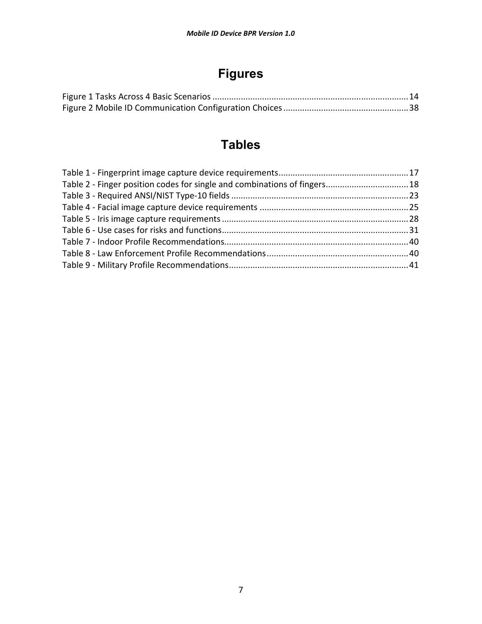# **Figures**

# **Tables**

| Table 2 - Finger position codes for single and combinations of fingers 18 |  |
|---------------------------------------------------------------------------|--|
|                                                                           |  |
|                                                                           |  |
|                                                                           |  |
|                                                                           |  |
|                                                                           |  |
|                                                                           |  |
|                                                                           |  |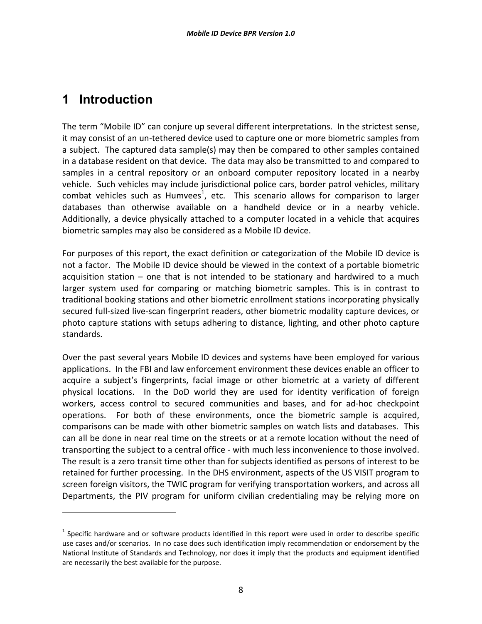# **1 Introduction**

l

The term "Mobile ID" can conjure up several different interpretations. In the strictest sense, it may consist of an un-tethered device used to capture one or more biometric samples from a subject. The captured data sample(s) may then be compared to other samples contained in a database resident on that device. The data may also be transmitted to and compared to samples in a central repository or an onboard computer repository located in a nearby vehicle. Such vehicles may include jurisdictional police cars, border patrol vehicles, military combat vehicles such as Humvees<sup>1</sup>, etc. This scenario allows for comparison to larger databases than otherwise available on a handheld device or in a nearby vehicle. Additionally, a device physically attached to a computer located in a vehicle that acquires biometric samples may also be considered as a Mobile ID device.

For purposes of this report, the exact definition or categorization of the Mobile ID device is not a factor. The Mobile ID device should be viewed in the context of a portable biometric acquisition station – one that is not intended to be stationary and hardwired to a much larger system used for comparing or matching biometric samples. This is in contrast to traditional booking stations and other biometric enrollment stations incorporating physically secured full-sized live-scan fingerprint readers, other biometric modality capture devices, or photo capture stations with setups adhering to distance, lighting, and other photo capture standards.

Over the past several years Mobile ID devices and systems have been employed for various applications. In the FBI and law enforcement environment these devices enable an officer to acquire a subject's fingerprints, facial image or other biometric at a variety of different physical locations. In the DoD world they are used for identity verification of foreign workers, access control to secured communities and bases, and for ad-hoc checkpoint operations. For both of these environments, once the biometric sample is acquired, comparisons can be made with other biometric samples on watch lists and databases. This can all be done in near real time on the streets or at a remote location without the need of transporting the subject to a central office - with much less inconvenience to those involved. The result is a zero transit time other than for subjects identified as persons of interest to be retained for further processing. In the DHS environment, aspects of the US VISIT program to screen foreign visitors, the TWIC program for verifying transportation workers, and across all Departments, the PIV program for uniform civilian credentialing may be relying more on

 $^1$  Specific hardware and or software products identified in this report were used in order to describe specific use cases and/or scenarios. In no case does such identification imply recommendation or endorsement by the National Institute of Standards and Technology, nor does it imply that the products and equipment identified are necessarily the best available for the purpose.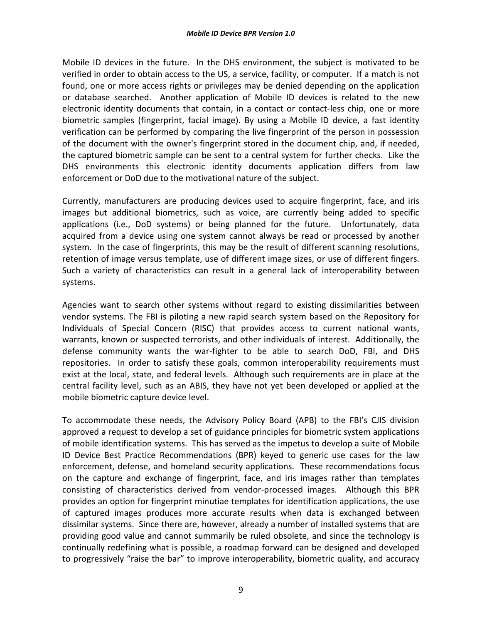Mobile ID devices in the future. In the DHS environment, the subject is motivated to be verified in order to obtain access to the US, a service, facility, or computer. If a match is not found, one or more access rights or privileges may be denied depending on the application or database searched. Another application of Mobile ID devices is related to the new electronic identity documents that contain, in a contact or contact-less chip, one or more biometric samples (fingerprint, facial image). By using a Mobile ID device, a fast identity verification can be performed by comparing the live fingerprint of the person in possession of the document with the owner's fingerprint stored in the document chip, and, if needed, the captured biometric sample can be sent to a central system for further checks. Like the DHS environments this electronic identity documents application differs from law enforcement or DoD due to the motivational nature of the subject.

Currently, manufacturers are producing devices used to acquire fingerprint, face, and iris images but additional biometrics, such as voice, are currently being added to specific applications (i.e., DoD systems) or being planned for the future. Unfortunately, data acquired from a device using one system cannot always be read or processed by another system. In the case of fingerprints, this may be the result of different scanning resolutions, retention of image versus template, use of different image sizes, or use of different fingers. Such a variety of characteristics can result in a general lack of interoperability between systems.

Agencies want to search other systems without regard to existing dissimilarities between vendor systems. The FBI is piloting a new rapid search system based on the Repository for Individuals of Special Concern (RISC) that provides access to current national wants, warrants, known or suspected terrorists, and other individuals of interest. Additionally, the defense community wants the war-fighter to be able to search DoD, FBI, and DHS repositories. In order to satisfy these goals, common interoperability requirements must exist at the local, state, and federal levels. Although such requirements are in place at the central facility level, such as an ABIS, they have not yet been developed or applied at the mobile biometric capture device level.

To accommodate these needs, the Advisory Policy Board (APB) to the FBI's CJIS division approved a request to develop a set of guidance principles for biometric system applications of mobile identification systems. This has served as the impetus to develop a suite of Mobile ID Device Best Practice Recommendations (BPR) keyed to generic use cases for the law enforcement, defense, and homeland security applications. These recommendations focus on the capture and exchange of fingerprint, face, and iris images rather than templates consisting of characteristics derived from vendor-processed images. Although this BPR provides an option for fingerprint minutiae templates for identification applications, the use of captured images produces more accurate results when data is exchanged between dissimilar systems. Since there are, however, already a number of installed systems that are providing good value and cannot summarily be ruled obsolete, and since the technology is continually redefining what is possible, a roadmap forward can be designed and developed to progressively "raise the bar" to improve interoperability, biometric quality, and accuracy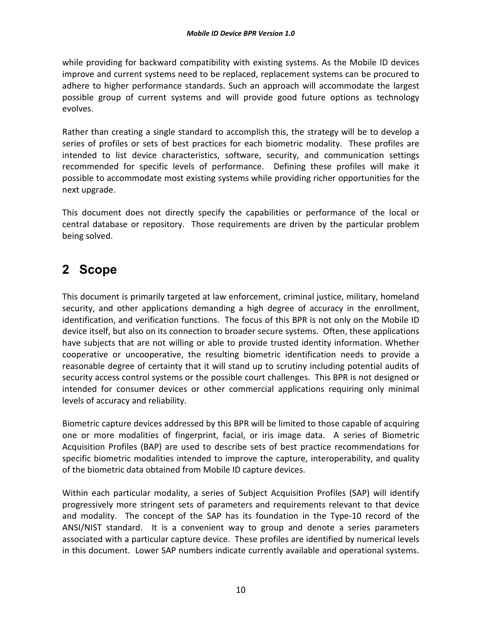while providing for backward compatibility with existing systems. As the Mobile ID devices improve and current systems need to be replaced, replacement systems can be procured to adhere to higher performance standards. Such an approach will accommodate the largest possible group of current systems and will provide good future options as technology evolves.

Rather than creating a single standard to accomplish this, the strategy will be to develop a series of profiles or sets of best practices for each biometric modality. These profiles are intended to list device characteristics, software, security, and communication settings recommended for specific levels of performance. Defining these profiles will make it possible to accommodate most existing systems while providing richer opportunities for the next upgrade.

This document does not directly specify the capabilities or performance of the local or central database or repository. Those requirements are driven by the particular problem being solved.

# **2 Scope**

This document is primarily targeted at law enforcement, criminal justice, military, homeland security, and other applications demanding a high degree of accuracy in the enrollment, identification, and verification functions. The focus of this BPR is not only on the Mobile ID device itself, but also on its connection to broader secure systems. Often, these applications have subjects that are not willing or able to provide trusted identity information. Whether cooperative or uncooperative, the resulting biometric identification needs to provide a reasonable degree of certainty that it will stand up to scrutiny including potential audits of security access control systems or the possible court challenges. This BPR is not designed or intended for consumer devices or other commercial applications requiring only minimal levels of accuracy and reliability.

Biometric capture devices addressed by this BPR will be limited to those capable of acquiring one or more modalities of fingerprint, facial, or iris image data. A series of Biometric Acquisition Profiles (BAP) are used to describe sets of best practice recommendations for specific biometric modalities intended to improve the capture, interoperability, and quality of the biometric data obtained from Mobile ID capture devices.

Within each particular modality, a series of Subject Acquisition Profiles (SAP) will identify progressively more stringent sets of parameters and requirements relevant to that device and modality. The concept of the SAP has its foundation in the Type-10 record of the ANSI/NIST standard. It is a convenient way to group and denote a series parameters associated with a particular capture device. These profiles are identified by numerical levels in this document. Lower SAP numbers indicate currently available and operational systems.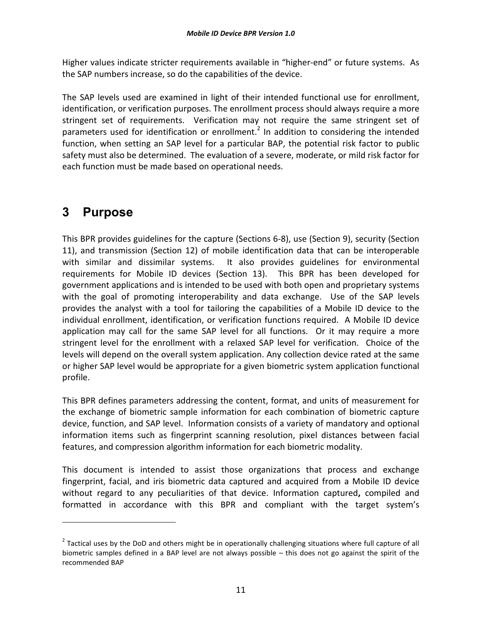Higher values indicate stricter requirements available in "higher-end" or future systems. As the SAP numbers increase, so do the capabilities of the device.

The SAP levels used are examined in light of their intended functional use for enrollment, identification, or verification purposes. The enrollment process should always require a more stringent set of requirements. Verification may not require the same stringent set of parameters used for identification or enrollment.<sup>2</sup> In addition to considering the intended function, when setting an SAP level for a particular BAP, the potential risk factor to public safety must also be determined. The evaluation of a severe, moderate, or mild risk factor for each function must be made based on operational needs.

# **3 Purpose**

 $\overline{a}$ 

This BPR provides guidelines for the capture (Sections 6-8), use (Section 9), security (Section 11), and transmission (Section 12) of mobile identification data that can be interoperable with similar and dissimilar systems. It also provides guidelines for environmental requirements for Mobile ID devices (Section 13). This BPR has been developed for government applications and is intended to be used with both open and proprietary systems with the goal of promoting interoperability and data exchange. Use of the SAP levels provides the analyst with a tool for tailoring the capabilities of a Mobile ID device to the individual enrollment, identification, or verification functions required. A Mobile ID device application may call for the same SAP level for all functions. Or it may require a more stringent level for the enrollment with a relaxed SAP level for verification. Choice of the levels will depend on the overall system application. Any collection device rated at the same or higher SAP level would be appropriate for a given biometric system application functional profile.

This BPR defines parameters addressing the content, format, and units of measurement for the exchange of biometric sample information for each combination of biometric capture device, function, and SAP level. Information consists of a variety of mandatory and optional information items such as fingerprint scanning resolution, pixel distances between facial features, and compression algorithm information for each biometric modality.

This document is intended to assist those organizations that process and exchange fingerprint, facial, and iris biometric data captured and acquired from a Mobile ID device without regard to any peculiarities of that device. Information captured**,** compiled and formatted in accordance with this BPR and compliant with the target system's

 $^2$  Tactical uses by the DoD and others might be in operationally challenging situations where full capture of all biometric samples defined in a BAP level are not always possible – this does not go against the spirit of the recommended BAP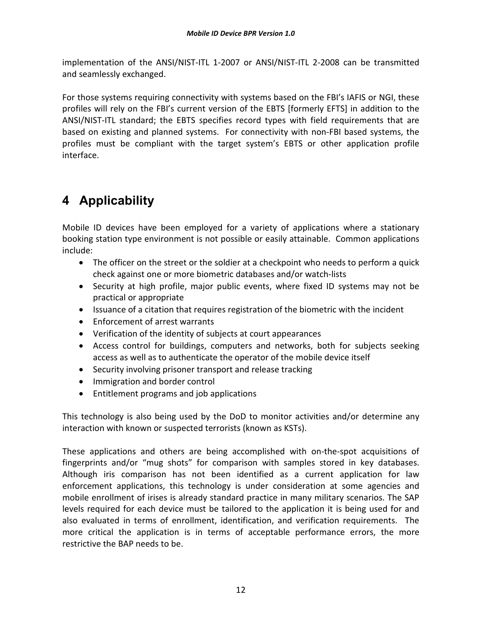implementation of the ANSI/NIST-ITL 1-2007 or ANSI/NIST-ITL 2-2008 can be transmitted and seamlessly exchanged.

For those systems requiring connectivity with systems based on the FBI's IAFIS or NGI, these profiles will rely on the FBI's current version of the EBTS [formerly EFTS] in addition to the ANSI/NIST-ITL standard; the EBTS specifies record types with field requirements that are based on existing and planned systems. For connectivity with non-FBI based systems, the profiles must be compliant with the target system's EBTS or other application profile interface.

# **4 Applicability**

Mobile ID devices have been employed for a variety of applications where a stationary booking station type environment is not possible or easily attainable. Common applications include:

- The officer on the street or the soldier at a checkpoint who needs to perform a quick check against one or more biometric databases and/or watch-lists
- Security at high profile, major public events, where fixed ID systems may not be practical or appropriate
- Issuance of a citation that requires registration of the biometric with the incident
- Enforcement of arrest warrants
- Verification of the identity of subjects at court appearances
- Access control for buildings, computers and networks, both for subjects seeking access as well as to authenticate the operator of the mobile device itself
- Security involving prisoner transport and release tracking
- Immigration and border control
- Entitlement programs and job applications

This technology is also being used by the DoD to monitor activities and/or determine any interaction with known or suspected terrorists (known as KSTs).

These applications and others are being accomplished with on-the-spot acquisitions of fingerprints and/or "mug shots" for comparison with samples stored in key databases. Although iris comparison has not been identified as a current application for law enforcement applications, this technology is under consideration at some agencies and mobile enrollment of irises is already standard practice in many military scenarios. The SAP levels required for each device must be tailored to the application it is being used for and also evaluated in terms of enrollment, identification, and verification requirements. The more critical the application is in terms of acceptable performance errors, the more restrictive the BAP needs to be.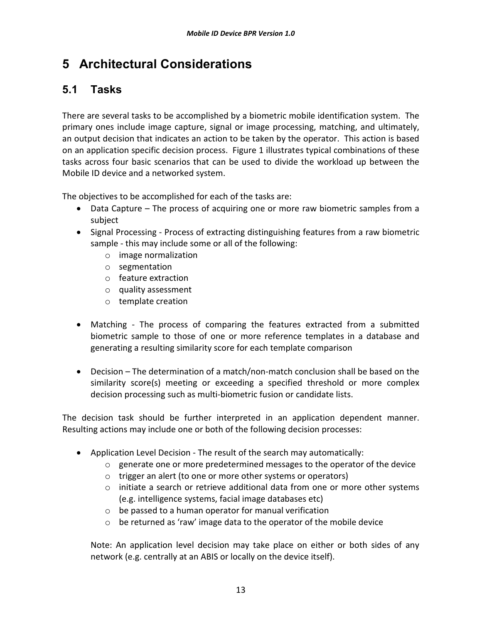# **5 Architectural Considerations**

# **5.1 Tasks**

There are several tasks to be accomplished by a biometric mobile identification system. The primary ones include image capture, signal or image processing, matching, and ultimately, an output decision that indicates an action to be taken by the operator. This action is based on an application specific decision process. Figure 1 illustrates typical combinations of these tasks across four basic scenarios that can be used to divide the workload up between the Mobile ID device and a networked system.

The objectives to be accomplished for each of the tasks are:

- Data Capture The process of acquiring one or more raw biometric samples from a subject
- Signal Processing Process of extracting distinguishing features from a raw biometric sample - this may include some or all of the following:
	- o image normalization
	- o segmentation
	- o feature extraction
	- o quality assessment
	- o template creation
- Matching The process of comparing the features extracted from a submitted biometric sample to those of one or more reference templates in a database and generating a resulting similarity score for each template comparison
- Decision The determination of a match/non-match conclusion shall be based on the similarity score(s) meeting or exceeding a specified threshold or more complex decision processing such as multi-biometric fusion or candidate lists.

The decision task should be further interpreted in an application dependent manner. Resulting actions may include one or both of the following decision processes:

- Application Level Decision The result of the search may automatically:
	- $\circ$  generate one or more predetermined messages to the operator of the device
	- o trigger an alert (to one or more other systems or operators)
	- $\circ$  initiate a search or retrieve additional data from one or more other systems (e.g. intelligence systems, facial image databases etc)
	- o be passed to a human operator for manual verification
	- o be returned as 'raw' image data to the operator of the mobile device

Note: An application level decision may take place on either or both sides of any network (e.g. centrally at an ABIS or locally on the device itself).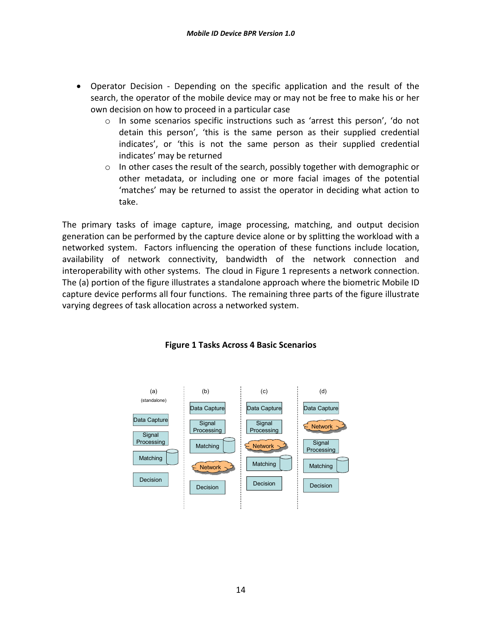- Operator Decision Depending on the specific application and the result of the search, the operator of the mobile device may or may not be free to make his or her own decision on how to proceed in a particular case
	- o In some scenarios specific instructions such as 'arrest this person', 'do not detain this person', 'this is the same person as their supplied credential indicates', or 'this is not the same person as their supplied credential indicates' may be returned
	- $\circ$  In other cases the result of the search, possibly together with demographic or other metadata, or including one or more facial images of the potential 'matches' may be returned to assist the operator in deciding what action to take.

The primary tasks of image capture, image processing, matching, and output decision generation can be performed by the capture device alone or by splitting the workload with a networked system. Factors influencing the operation of these functions include location, availability of network connectivity, bandwidth of the network connection and interoperability with other systems. The cloud in Figure 1 represents a network connection. The (a) portion of the figure illustrates a standalone approach where the biometric Mobile ID capture device performs all four functions. The remaining three parts of the figure illustrate varying degrees of task allocation across a networked system.



#### **Figure 1 Tasks Across 4 Basic Scenarios**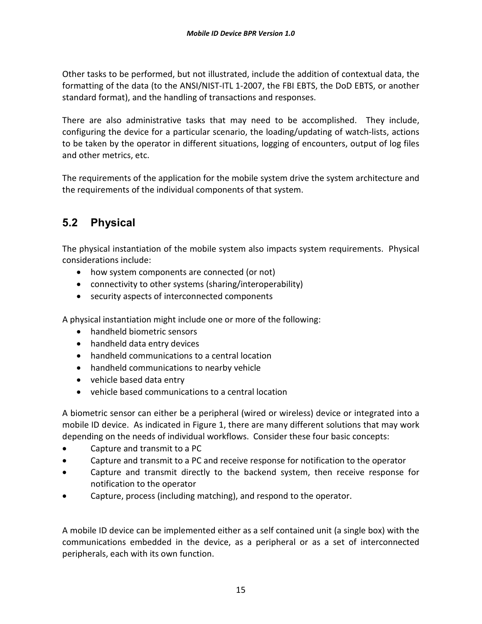Other tasks to be performed, but not illustrated, include the addition of contextual data, the formatting of the data (to the ANSI/NIST-ITL 1-2007, the FBI EBTS, the DoD EBTS, or another standard format), and the handling of transactions and responses.

There are also administrative tasks that may need to be accomplished. They include, configuring the device for a particular scenario, the loading/updating of watch-lists, actions to be taken by the operator in different situations, logging of encounters, output of log files and other metrics, etc.

The requirements of the application for the mobile system drive the system architecture and the requirements of the individual components of that system.

# **5.2 Physical**

The physical instantiation of the mobile system also impacts system requirements. Physical considerations include:

- how system components are connected (or not)
- connectivity to other systems (sharing/interoperability)
- security aspects of interconnected components

A physical instantiation might include one or more of the following:

- handheld biometric sensors
- handheld data entry devices
- handheld communications to a central location
- handheld communications to nearby vehicle
- vehicle based data entry
- vehicle based communications to a central location

A biometric sensor can either be a peripheral (wired or wireless) device or integrated into a mobile ID device. As indicated in Figure 1, there are many different solutions that may work depending on the needs of individual workflows. Consider these four basic concepts:

- Capture and transmit to a PC
- Capture and transmit to a PC and receive response for notification to the operator
- Capture and transmit directly to the backend system, then receive response for notification to the operator
- Capture, process (including matching), and respond to the operator.

A mobile ID device can be implemented either as a self contained unit (a single box) with the communications embedded in the device, as a peripheral or as a set of interconnected peripherals, each with its own function.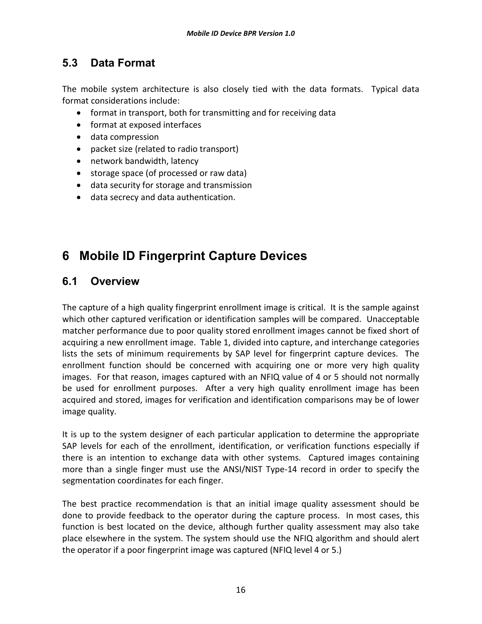# **5.3 Data Format**

The mobile system architecture is also closely tied with the data formats. Typical data format considerations include:

- format in transport, both for transmitting and for receiving data
- format at exposed interfaces
- data compression
- packet size (related to radio transport)
- network bandwidth, latency
- storage space (of processed or raw data)
- data security for storage and transmission
- data secrecy and data authentication.

# **6 Mobile ID Fingerprint Capture Devices**

#### **6.1 Overview**

The capture of a high quality fingerprint enrollment image is critical. It is the sample against which other captured verification or identification samples will be compared. Unacceptable matcher performance due to poor quality stored enrollment images cannot be fixed short of acquiring a new enrollment image. Table 1, divided into capture, and interchange categories lists the sets of minimum requirements by SAP level for fingerprint capture devices. The enrollment function should be concerned with acquiring one or more very high quality images. For that reason, images captured with an NFIQ value of 4 or 5 should not normally be used for enrollment purposes. After a very high quality enrollment image has been acquired and stored, images for verification and identification comparisons may be of lower image quality.

It is up to the system designer of each particular application to determine the appropriate SAP levels for each of the enrollment, identification, or verification functions especially if there is an intention to exchange data with other systems. Captured images containing more than a single finger must use the ANSI/NIST Type-14 record in order to specify the segmentation coordinates for each finger.

The best practice recommendation is that an initial image quality assessment should be done to provide feedback to the operator during the capture process. In most cases, this function is best located on the device, although further quality assessment may also take place elsewhere in the system. The system should use the NFIQ algorithm and should alert the operator if a poor fingerprint image was captured (NFIQ level 4 or 5.)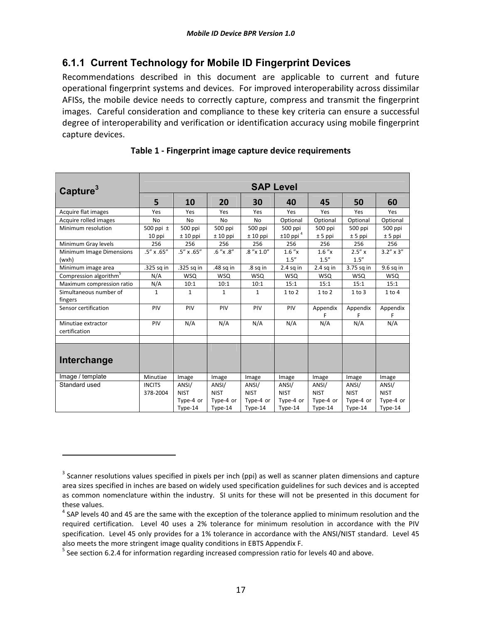#### **6.1.1 Current Technology for Mobile ID Fingerprint Devices**

Recommendations described in this document are applicable to current and future operational fingerprint systems and devices. For improved interoperability across dissimilar AFISs, the mobile device needs to correctly capture, compress and transmit the fingerprint images. Careful consideration and compliance to these key criteria can ensure a successful degree of interoperability and verification or identification accuracy using mobile fingerprint capture devices.

| Capture <sup>3</sup>                | <b>SAP Level</b>          |                                   |                                   |                                   |                                   |                                   |                                   |                                   |
|-------------------------------------|---------------------------|-----------------------------------|-----------------------------------|-----------------------------------|-----------------------------------|-----------------------------------|-----------------------------------|-----------------------------------|
|                                     | 5                         | 10                                | 20                                | 30                                | 40                                | 45                                | 50                                | 60                                |
| Acquire flat images                 | Yes                       | Yes                               | Yes                               | Yes                               | Yes                               | Yes                               | Yes                               | Yes                               |
| Acquire rolled images               | <b>No</b>                 | No                                | <b>No</b>                         | No                                | Optional                          | Optional                          | Optional                          | Optional                          |
| Minimum resolution                  | 500 ppi $\pm$<br>10 ppi   | 500 ppi<br>$± 10$ ppi             | 500 ppi<br>$± 10$ ppi             | 500 ppi<br>$± 10$ ppi             | 500 ppi<br>$±10$ ppi <sup>4</sup> | 500 ppi<br>$± 5$ ppi              | 500 ppi<br>$± 5$ ppi              | 500 ppi<br>$± 5$ ppi              |
| Minimum Gray levels                 | 256                       | 256                               | 256                               | 256                               | 256                               | 256                               | 256                               | 256                               |
| Minimum Image Dimensions<br>(wxh)   | $.5'' \times .65''$       | $.5'' \times .65''$               | $.6''$ x $.8''$                   | $.8''$ x $1.0''$                  | 1.6''x<br>1.5''                   | 1.6''x<br>1.5''                   | $2.5'' \times$<br>1.5''           | $3.2'' \times 3''$                |
| Minimum image area                  | .325 sq in                | .325 sq in                        | .48 sq in                         | .8 sq in                          | $2.4$ sq in                       | $2.4$ sq in                       | 3.75 sq in                        | $9.6$ sq in                       |
| Compression algorithm <sup>5</sup>  | N/A                       | <b>WSQ</b>                        | <b>WSQ</b>                        | <b>WSQ</b>                        | <b>WSQ</b>                        | <b>WSQ</b>                        | <b>WSQ</b>                        | <b>WSQ</b>                        |
| Maximum compression ratio           | N/A                       | 10:1                              | 10:1                              | 10:1                              | 15:1                              | 15:1                              | 15:1                              | 15:1                              |
| Simultaneous number of<br>fingers   | $\mathbf{1}$              | $\mathbf{1}$                      | $\mathbf{1}$                      | $\mathbf{1}$                      | $1$ to $2$                        | $1$ to $2$                        | 1 to 3                            | 1 to 4                            |
| Sensor certification                | PIV                       | PIV                               | PIV                               | PIV                               | PIV                               | Appendix                          | Appendix                          | Appendix<br>F                     |
| Minutiae extractor<br>certification | PIV                       | N/A                               | N/A                               | N/A                               | N/A                               | N/A                               | N/A                               | N/A                               |
|                                     |                           |                                   |                                   |                                   |                                   |                                   |                                   |                                   |
| Interchange                         |                           |                                   |                                   |                                   |                                   |                                   |                                   |                                   |
| Image / template                    | Minutiae                  | Image                             | Image                             | Image                             | Image                             | Image                             | Image                             | Image                             |
| Standard used                       | <b>INCITS</b><br>378-2004 | ANSI/<br><b>NIST</b><br>Type-4 or | ANSI/<br><b>NIST</b><br>Type-4 or | ANSI/<br><b>NIST</b><br>Type-4 or | ANSI/<br><b>NIST</b><br>Type-4 or | ANSI/<br><b>NIST</b><br>Type-4 or | ANSI/<br><b>NIST</b><br>Type-4 or | ANSI/<br><b>NIST</b><br>Type-4 or |
|                                     |                           | Type-14                           | Type-14                           | Type-14                           | Type-14                           | Type-14                           | Type-14                           | Type-14                           |

 $\overline{a}$ 

 $3$  Scanner resolutions values specified in pixels per inch (ppi) as well as scanner platen dimensions and capture area sizes specified in inches are based on widely used specification guidelines for such devices and is accepted as common nomenclature within the industry. SI units for these will not be presented in this document for these values.

 $<sup>4</sup>$  SAP levels 40 and 45 are the same with the exception of the tolerance applied to minimum resolution and the</sup> required certification. Level 40 uses a 2% tolerance for minimum resolution in accordance with the PIV specification. Level 45 only provides for a 1% tolerance in accordance with the ANSI/NIST standard. Level 45 also meets the more stringent image quality conditions in EBTS Appendix F.

 $<sup>5</sup>$  See section 6.2.4 for information regarding increased compression ratio for levels 40 and above.</sup>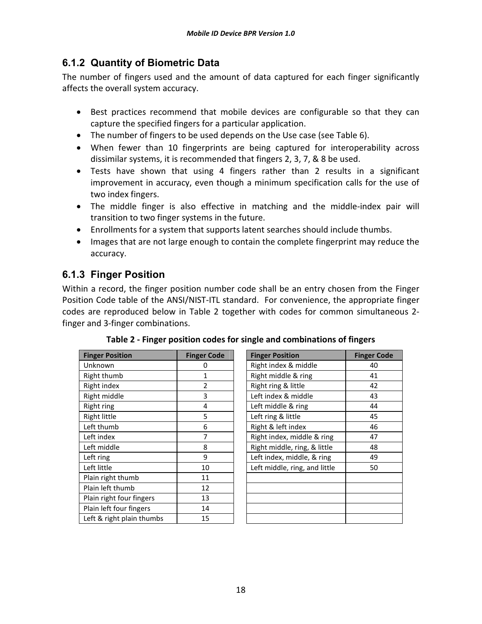### **6.1.2 Quantity of Biometric Data**

The number of fingers used and the amount of data captured for each finger significantly affects the overall system accuracy.

- Best practices recommend that mobile devices are configurable so that they can capture the specified fingers for a particular application.
- The number of fingers to be used depends on the Use case (see Table 6).
- When fewer than 10 fingerprints are being captured for interoperability across dissimilar systems, it is recommended that fingers 2, 3, 7, & 8 be used.
- Tests have shown that using 4 fingers rather than 2 results in a significant improvement in accuracy, even though a minimum specification calls for the use of two index fingers.
- The middle finger is also effective in matching and the middle-index pair will transition to two finger systems in the future.
- Enrollments for a system that supports latent searches should include thumbs.
- Images that are not large enough to contain the complete fingerprint may reduce the accuracy.

# **6.1.3 Finger Position**

Within a record, the finger position number code shall be an entry chosen from the Finger Position Code table of the ANSI/NIST-ITL standard. For convenience, the appropriate finger codes are reproduced below in Table 2 together with codes for common simultaneous 2 finger and 3-finger combinations.

| <b>Finger Position</b>    | <b>Finger Code</b> | <b>Finger Position</b>        | <b>Finger C</b> |
|---------------------------|--------------------|-------------------------------|-----------------|
| Unknown                   | 0                  | Right index & middle          | 40              |
| Right thumb               | 1                  | Right middle & ring           | 41              |
| Right index               | $\overline{2}$     | Right ring & little           | 42              |
| Right middle              | 3                  | Left index & middle           | 43              |
| Right ring                | 4                  | Left middle & ring            | 44              |
| Right little              | 5                  | Left ring & little            | 45              |
| Left thumb                | 6                  | Right & left index            | 46              |
| Left index                | 7                  | Right index, middle & ring    | 47              |
| Left middle               | 8                  | Right middle, ring, & little  | 48              |
| Left ring                 | 9                  | Left index, middle, & ring    | 49              |
| Left little               | 10                 | Left middle, ring, and little | 50              |
| Plain right thumb         | 11                 |                               |                 |
| Plain left thumb          | 12                 |                               |                 |
| Plain right four fingers  | 13                 |                               |                 |
| Plain left four fingers   | 14                 |                               |                 |
| Left & right plain thumbs | 15                 |                               |                 |
|                           |                    |                               |                 |

| <b>Finger Position</b>    | <b>Finger Code</b> | <b>Finger Position</b>        | <b>Finger Code</b> |  |
|---------------------------|--------------------|-------------------------------|--------------------|--|
| Unknown                   | 0                  | Right index & middle          | 40                 |  |
| Right thumb               | 1                  | Right middle & ring           | 41                 |  |
| Right index               | 2                  | Right ring & little           | 42                 |  |
| Right middle              | 3                  | Left index & middle           | 43                 |  |
| Right ring                | 4                  | Left middle & ring            | 44                 |  |
| Right little              | 5                  | Left ring & little            | 45                 |  |
| Left thumb                | 6                  | Right & left index            | 46                 |  |
| Left index                | 7                  | Right index, middle & ring    | 47                 |  |
| Left middle               | 8                  | Right middle, ring, & little  | 48                 |  |
| Left ring                 | 9                  | Left index, middle, & ring    | 49                 |  |
| Left little               | 10                 | Left middle, ring, and little | 50                 |  |
| Plain right thumb         | 11                 |                               |                    |  |
| Plain left thumb          | 12                 |                               |                    |  |
| Plain right four fingers  | 13                 |                               |                    |  |
| Plain left four fingers   | 14                 |                               |                    |  |
| Left & right plain thumbs | 15                 |                               |                    |  |
|                           |                    |                               |                    |  |

**Table 2 - Finger position codes for single and combinations of fingers**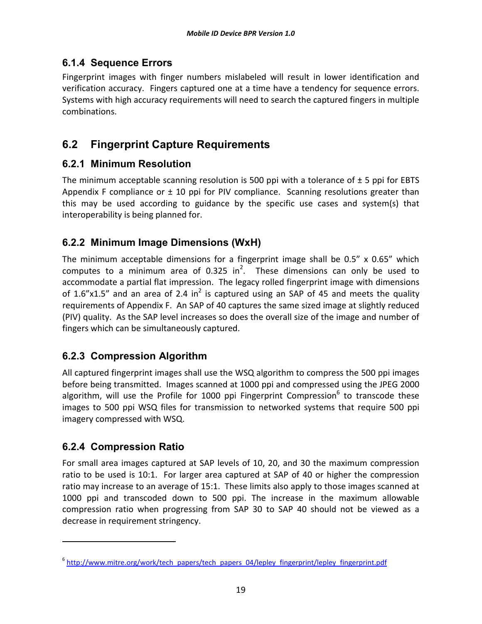#### **6.1.4 Sequence Errors**

Fingerprint images with finger numbers mislabeled will result in lower identification and verification accuracy. Fingers captured one at a time have a tendency for sequence errors. Systems with high accuracy requirements will need to search the captured fingers in multiple combinations.

# **6.2 Fingerprint Capture Requirements**

#### **6.2.1 Minimum Resolution**

The minimum acceptable scanning resolution is 500 ppi with a tolerance of  $\pm$  5 ppi for EBTS Appendix F compliance or  $\pm$  10 ppi for PIV compliance. Scanning resolutions greater than this may be used according to guidance by the specific use cases and system(s) that interoperability is being planned for.

### **6.2.2 Minimum Image Dimensions (WxH)**

The minimum acceptable dimensions for a fingerprint image shall be 0.5" x 0.65" which computes to a minimum area of 0.325 in<sup>2</sup>. These dimensions can only be used to accommodate a partial flat impression. The legacy rolled fingerprint image with dimensions of 1.6"x1.5" and an area of 2.4 in<sup>2</sup> is captured using an SAP of 45 and meets the quality requirements of Appendix F. An SAP of 40 captures the same sized image at slightly reduced (PIV) quality. As the SAP level increases so does the overall size of the image and number of fingers which can be simultaneously captured.

#### **6.2.3 Compression Algorithm**

All captured fingerprint images shall use the WSQ algorithm to compress the 500 ppi images before being transmitted. Images scanned at 1000 ppi and compressed using the JPEG 2000 algorithm, will use the Profile for 1000 ppi Fingerprint Compression<sup>6</sup> to transcode these images to 500 ppi WSQ files for transmission to networked systems that require 500 ppi imagery compressed with WSQ.

#### **6.2.4 Compression Ratio**

 $\overline{a}$ 

For small area images captured at SAP levels of 10, 20, and 30 the maximum compression ratio to be used is 10:1. For larger area captured at SAP of 40 or higher the compression ratio may increase to an average of 15:1. These limits also apply to those images scanned at 1000 ppi and transcoded down to 500 ppi. The increase in the maximum allowable compression ratio when progressing from SAP 30 to SAP 40 should not be viewed as a decrease in requirement stringency.

<sup>&</sup>lt;sup>6</sup> http://www.mitre.org/work/tech\_papers/tech\_papers\_04/lepley\_fingerprint/lepley\_fingerprint.pdf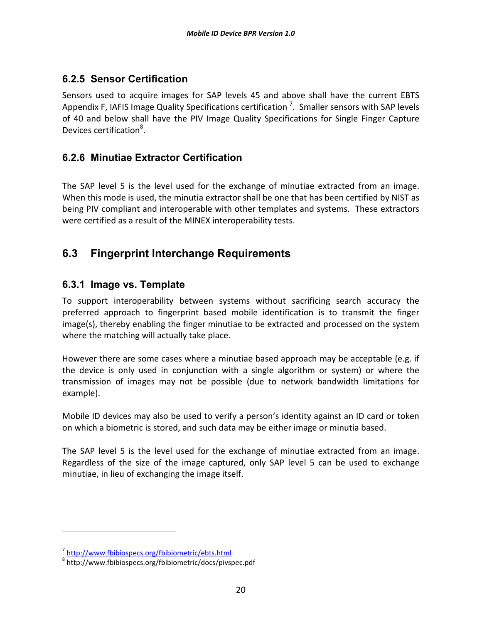#### **6.2.5 Sensor Certification**

Sensors used to acquire images for SAP levels 45 and above shall have the current EBTS Appendix F, IAFIS Image Quality Specifications certification  $^7$ . Smaller sensors with SAP levels of 40 and below shall have the PIV Image Quality Specifications for Single Finger Capture Devices certification<sup>8</sup>.

#### **6.2.6 Minutiae Extractor Certification**

The SAP level 5 is the level used for the exchange of minutiae extracted from an image. When this mode is used, the minutia extractor shall be one that has been certified by NIST as being PIV compliant and interoperable with other templates and systems. These extractors were certified as a result of the MINEX interoperability tests.

# **6.3 Fingerprint Interchange Requirements**

#### **6.3.1 Image vs. Template**

To support interoperability between systems without sacrificing search accuracy the preferred approach to fingerprint based mobile identification is to transmit the finger image(s), thereby enabling the finger minutiae to be extracted and processed on the system where the matching will actually take place.

However there are some cases where a minutiae based approach may be acceptable (e.g. if the device is only used in conjunction with a single algorithm or system) or where the transmission of images may not be possible (due to network bandwidth limitations for example).

Mobile ID devices may also be used to verify a person's identity against an ID card or token on which a biometric is stored, and such data may be either image or minutia based.

The SAP level 5 is the level used for the exchange of minutiae extracted from an image. Regardless of the size of the image captured, only SAP level 5 can be used to exchange minutiae, in lieu of exchanging the image itself.

l

<sup>&</sup>lt;sup>7</sup> http://www.fbibiospecs.org/fbibiometric/ebts.html

<sup>8</sup> http://www.fbibiospecs.org/fbibiometric/docs/pivspec.pdf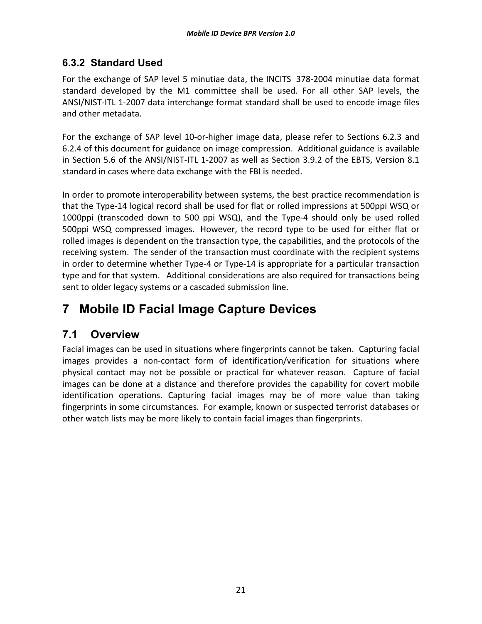#### **6.3.2 Standard Used**

For the exchange of SAP level 5 minutiae data, the INCITS 378-2004 minutiae data format standard developed by the M1 committee shall be used. For all other SAP levels, the ANSI/NIST-ITL 1-2007 data interchange format standard shall be used to encode image files and other metadata.

For the exchange of SAP level 10-or-higher image data, please refer to Sections 6.2.3 and 6.2.4 of this document for guidance on image compression. Additional guidance is available in Section 5.6 of the ANSI/NIST-ITL 1-2007 as well as Section 3.9.2 of the EBTS, Version 8.1 standard in cases where data exchange with the FBI is needed.

In order to promote interoperability between systems, the best practice recommendation is that the Type-14 logical record shall be used for flat or rolled impressions at 500ppi WSQ or 1000ppi (transcoded down to 500 ppi WSQ), and the Type-4 should only be used rolled 500ppi WSQ compressed images. However, the record type to be used for either flat or rolled images is dependent on the transaction type, the capabilities, and the protocols of the receiving system. The sender of the transaction must coordinate with the recipient systems in order to determine whether Type-4 or Type-14 is appropriate for a particular transaction type and for that system. Additional considerations are also required for transactions being sent to older legacy systems or a cascaded submission line.

# **7 Mobile ID Facial Image Capture Devices**

# **7.1 Overview**

Facial images can be used in situations where fingerprints cannot be taken. Capturing facial images provides a non-contact form of identification/verification for situations where physical contact may not be possible or practical for whatever reason. Capture of facial images can be done at a distance and therefore provides the capability for covert mobile identification operations. Capturing facial images may be of more value than taking fingerprints in some circumstances. For example, known or suspected terrorist databases or other watch lists may be more likely to contain facial images than fingerprints.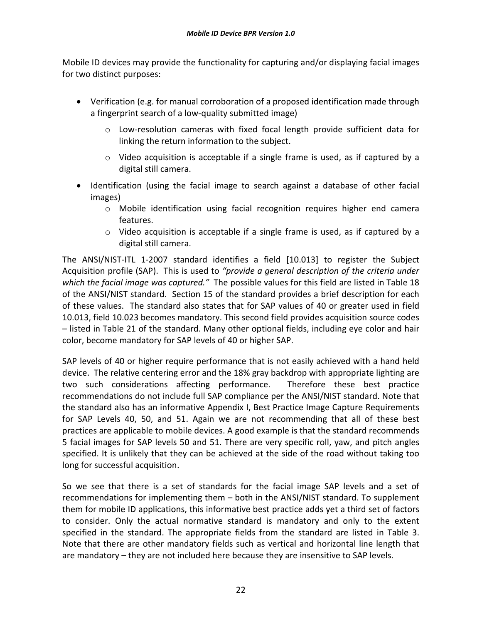Mobile ID devices may provide the functionality for capturing and/or displaying facial images for two distinct purposes:

- Verification (e.g. for manual corroboration of a proposed identification made through a fingerprint search of a low-quality submitted image)
	- o Low-resolution cameras with fixed focal length provide sufficient data for linking the return information to the subject.
	- $\circ$  Video acquisition is acceptable if a single frame is used, as if captured by a digital still camera.
- Identification (using the facial image to search against a database of other facial images)
	- o Mobile identification using facial recognition requires higher end camera features.
	- $\circ$  Video acquisition is acceptable if a single frame is used, as if captured by a digital still camera.

The ANSI/NIST-ITL 1-2007 standard identifies a field [10.013] to register the Subject Acquisition profile (SAP). This is used to *"provide a general description of the criteria under which the facial image was captured."* The possible values for this field are listed in Table 18 of the ANSI/NIST standard. Section 15 of the standard provides a brief description for each of these values. The standard also states that for SAP values of 40 or greater used in field 10.013, field 10.023 becomes mandatory. This second field provides acquisition source codes – listed in Table 21 of the standard. Many other optional fields, including eye color and hair color, become mandatory for SAP levels of 40 or higher SAP.

SAP levels of 40 or higher require performance that is not easily achieved with a hand held device. The relative centering error and the 18% gray backdrop with appropriate lighting are two such considerations affecting performance. Therefore these best practice recommendations do not include full SAP compliance per the ANSI/NIST standard. Note that the standard also has an informative Appendix I, Best Practice Image Capture Requirements for SAP Levels 40, 50, and 51. Again we are not recommending that all of these best practices are applicable to mobile devices. A good example is that the standard recommends 5 facial images for SAP levels 50 and 51. There are very specific roll, yaw, and pitch angles specified. It is unlikely that they can be achieved at the side of the road without taking too long for successful acquisition.

So we see that there is a set of standards for the facial image SAP levels and a set of recommendations for implementing them – both in the ANSI/NIST standard. To supplement them for mobile ID applications, this informative best practice adds yet a third set of factors to consider. Only the actual normative standard is mandatory and only to the extent specified in the standard. The appropriate fields from the standard are listed in Table 3. Note that there are other mandatory fields such as vertical and horizontal line length that are mandatory – they are not included here because they are insensitive to SAP levels.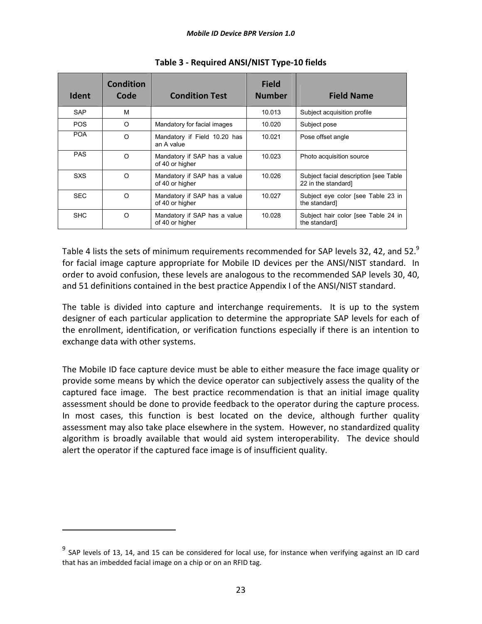| <b>Ident</b> | <b>Condition</b><br>Code | <b>Condition Test</b>                           | <b>Field</b><br><b>Number</b> | <b>Field Name</b>                                            |
|--------------|--------------------------|-------------------------------------------------|-------------------------------|--------------------------------------------------------------|
| <b>SAP</b>   | M                        |                                                 | 10.013                        | Subject acquisition profile                                  |
| <b>POS</b>   | O                        | Mandatory for facial images                     | 10.020                        | Subject pose                                                 |
| <b>POA</b>   | $\Omega$                 | Mandatory if Field 10.20 has<br>an A value      | 10.021                        | Pose offset angle                                            |
| <b>PAS</b>   | $\Omega$                 | Mandatory if SAP has a value<br>of 40 or higher | 10.023                        | Photo acquisition source                                     |
| <b>SXS</b>   | $\Omega$                 | Mandatory if SAP has a value<br>of 40 or higher | 10.026                        | Subject facial description [see Table<br>22 in the standard] |
| <b>SEC</b>   | $\Omega$                 | Mandatory if SAP has a value<br>of 40 or higher | 10.027                        | Subject eye color [see Table 23 in<br>the standard]          |
| <b>SHC</b>   | $\Omega$                 | Mandatory if SAP has a value<br>of 40 or higher | 10.028                        | Subject hair color [see Table 24 in<br>the standard]         |

**Table 3 - Required ANSI/NIST Type-10 fields**

Table 4 lists the sets of minimum requirements recommended for SAP levels 32, 42, and 52.<sup>9</sup> for facial image capture appropriate for Mobile ID devices per the ANSI/NIST standard. In order to avoid confusion, these levels are analogous to the recommended SAP levels 30, 40, and 51 definitions contained in the best practice Appendix I of the ANSI/NIST standard.

The table is divided into capture and interchange requirements. It is up to the system designer of each particular application to determine the appropriate SAP levels for each of the enrollment, identification, or verification functions especially if there is an intention to exchange data with other systems.

The Mobile ID face capture device must be able to either measure the face image quality or provide some means by which the device operator can subjectively assess the quality of the captured face image. The best practice recommendation is that an initial image quality assessment should be done to provide feedback to the operator during the capture process. In most cases, this function is best located on the device, although further quality assessment may also take place elsewhere in the system. However, no standardized quality algorithm is broadly available that would aid system interoperability. The device should alert the operator if the captured face image is of insufficient quality.

 $9$  SAP levels of 13, 14, and 15 can be considered for local use, for instance when verifying against an ID card that has an imbedded facial image on a chip or on an RFID tag.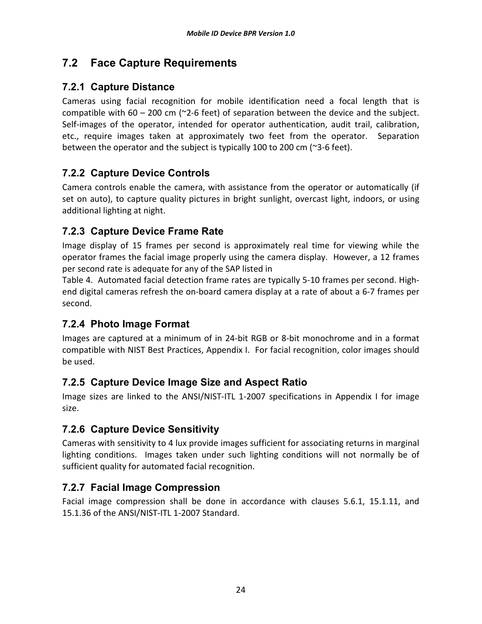# **7.2 Face Capture Requirements**

#### **7.2.1 Capture Distance**

Cameras using facial recognition for mobile identification need a focal length that is compatible with  $60 - 200$  cm ( $\approx$ 2-6 feet) of separation between the device and the subject. Self-images of the operator, intended for operator authentication, audit trail, calibration, etc., require images taken at approximately two feet from the operator. Separation between the operator and the subject is typically 100 to 200 cm (~3-6 feet).

### **7.2.2 Capture Device Controls**

Camera controls enable the camera, with assistance from the operator or automatically (if set on auto), to capture quality pictures in bright sunlight, overcast light, indoors, or using additional lighting at night.

### **7.2.3 Capture Device Frame Rate**

Image display of 15 frames per second is approximately real time for viewing while the operator frames the facial image properly using the camera display. However, a 12 frames per second rate is adequate for any of the SAP listed in

Table 4. Automated facial detection frame rates are typically 5-10 frames per second. Highend digital cameras refresh the on-board camera display at a rate of about a 6-7 frames per second.

# **7.2.4 Photo Image Format**

Images are captured at a minimum of in 24-bit RGB or 8-bit monochrome and in a format compatible with NIST Best Practices, Appendix I. For facial recognition, color images should be used.

# **7.2.5 Capture Device Image Size and Aspect Ratio**

Image sizes are linked to the ANSI/NIST-ITL 1-2007 specifications in Appendix I for image size.

# **7.2.6 Capture Device Sensitivity**

Cameras with sensitivity to 4 lux provide images sufficient for associating returns in marginal lighting conditions. Images taken under such lighting conditions will not normally be of sufficient quality for automated facial recognition.

#### **7.2.7 Facial Image Compression**

Facial image compression shall be done in accordance with clauses 5.6.1, 15.1.11, and 15.1.36 of the ANSI/NIST-ITL 1-2007 Standard.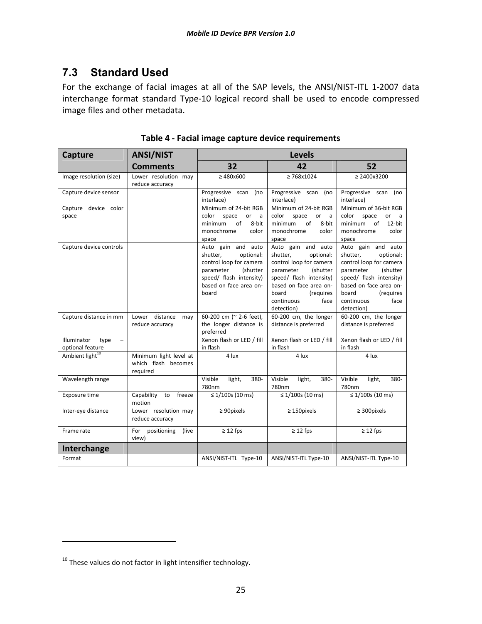# **7.3 Standard Used**

For the exchange of facial images at all of the SAP levels, the ANSI/NIST-ITL 1-2007 data interchange format standard Type-10 logical record shall be used to encode compressed image files and other metadata.

| Capture                                                             | <b>ANSI/NIST</b>                                          |                                                                                                                                                               | <b>Levels</b>                                                                                                                                                                                                  |                                                                                                                                                                                                                |  |  |
|---------------------------------------------------------------------|-----------------------------------------------------------|---------------------------------------------------------------------------------------------------------------------------------------------------------------|----------------------------------------------------------------------------------------------------------------------------------------------------------------------------------------------------------------|----------------------------------------------------------------------------------------------------------------------------------------------------------------------------------------------------------------|--|--|
|                                                                     | <b>Comments</b>                                           | 32                                                                                                                                                            | 42                                                                                                                                                                                                             | 52                                                                                                                                                                                                             |  |  |
| Image resolution (size)                                             | Lower resolution may<br>reduce accuracy                   | $\geq 480x600$                                                                                                                                                | $\geq 768x1024$                                                                                                                                                                                                | $\geq$ 2400x3200                                                                                                                                                                                               |  |  |
| Capture device sensor                                               |                                                           | Progressive scan (no<br>interlace)                                                                                                                            | Progressive scan (no<br>interlace)                                                                                                                                                                             | Progressive scan (no<br>interlace)                                                                                                                                                                             |  |  |
| Capture device color<br>space                                       |                                                           | Minimum of 24-bit RGB<br>color<br>space<br>or<br>a<br>of<br>minimum<br>8-bit<br>monochrome<br>color<br>space                                                  | Minimum of 24-bit RGB<br>color<br>space<br>or<br>a<br>of<br>minimum<br>8-bit<br>monochrome<br>color<br>space                                                                                                   | Minimum of 36-bit RGB<br>color<br>space<br>or<br>a<br>of<br>minimum<br>12-bit<br>monochrome<br>color<br>space                                                                                                  |  |  |
| Capture device controls                                             |                                                           | Auto gain and auto<br>shutter.<br>optional:<br>control loop for camera<br>(shutter<br>parameter<br>speed/ flash intensity)<br>based on face area on-<br>board | Auto gain and auto<br>shutter,<br>optional:<br>control loop for camera<br>parameter<br>(shutter<br>speed/ flash intensity)<br>based on face area on-<br>board<br>(requires<br>continuous<br>face<br>detection) | Auto gain and auto<br>shutter,<br>optional:<br>control loop for camera<br>parameter<br>(shutter<br>speed/ flash intensity)<br>based on face area on-<br>(requires<br>board<br>face<br>continuous<br>detection) |  |  |
| Capture distance in mm                                              | Lower distance<br>may<br>reduce accuracy                  | 60-200 cm (~ 2-6 feet),<br>the longer distance is<br>preferred                                                                                                | 60-200 cm, the longer<br>distance is preferred                                                                                                                                                                 | 60-200 cm, the longer<br>distance is preferred                                                                                                                                                                 |  |  |
| Illuminator<br>type<br>$\overline{\phantom{0}}$<br>optional feature |                                                           | Xenon flash or LED / fill<br>in flash                                                                                                                         | Xenon flash or LED / fill<br>in flash                                                                                                                                                                          | Xenon flash or LED / fill<br>in flash                                                                                                                                                                          |  |  |
| Ambient light <sup>10</sup>                                         | Minimum light level at<br>which flash becomes<br>required | 4 lux                                                                                                                                                         | 4 lux                                                                                                                                                                                                          | 4 lux                                                                                                                                                                                                          |  |  |
| Wavelength range                                                    |                                                           | Visible<br>light,<br>380-<br>780nm                                                                                                                            | Visible<br>light,<br>380-<br>780nm                                                                                                                                                                             | Visible<br>light,<br>380-<br>780nm                                                                                                                                                                             |  |  |
| Exposure time                                                       | Capability<br>freeze<br>to<br>motion                      | $\leq 1/100s$ (10 ms)                                                                                                                                         | $\leq 1/100s$ (10 ms)                                                                                                                                                                                          | $\leq 1/100s$ (10 ms)                                                                                                                                                                                          |  |  |
| Inter-eye distance<br>Lower resolution may<br>reduce accuracy       |                                                           | $\geq 90$ pixels                                                                                                                                              | $\geq$ 150pixels                                                                                                                                                                                               | $\geq$ 300pixels                                                                                                                                                                                               |  |  |
| Frame rate                                                          | For<br>positioning<br>(live)<br>view)                     | $\geq$ 12 fps                                                                                                                                                 | $\geq$ 12 fps                                                                                                                                                                                                  | $\geq$ 12 fps                                                                                                                                                                                                  |  |  |
| Interchange                                                         |                                                           |                                                                                                                                                               |                                                                                                                                                                                                                |                                                                                                                                                                                                                |  |  |
| Format                                                              |                                                           | ANSI/NIST-ITL Type-10                                                                                                                                         | ANSI/NIST-ITL Type-10                                                                                                                                                                                          | ANSI/NIST-ITL Type-10                                                                                                                                                                                          |  |  |

**Table 4 - Facial image capture device requirements** 

 $\overline{a}$ 

 $10$  These values do not factor in light intensifier technology.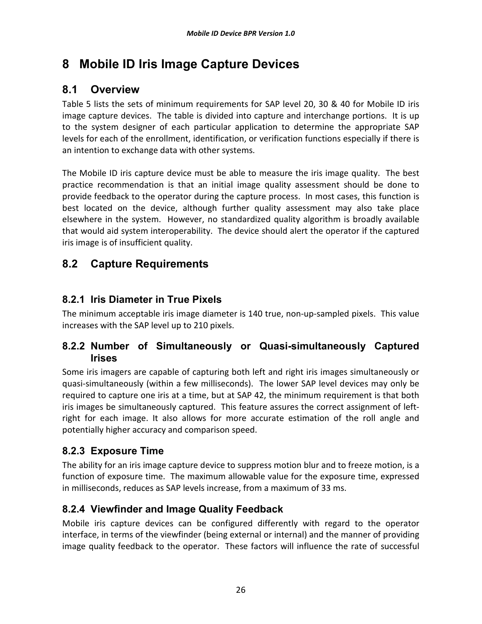# **8 Mobile ID Iris Image Capture Devices**

# **8.1 Overview**

Table 5 lists the sets of minimum requirements for SAP level 20, 30 & 40 for Mobile ID iris image capture devices. The table is divided into capture and interchange portions. It is up to the system designer of each particular application to determine the appropriate SAP levels for each of the enrollment, identification, or verification functions especially if there is an intention to exchange data with other systems.

The Mobile ID iris capture device must be able to measure the iris image quality. The best practice recommendation is that an initial image quality assessment should be done to provide feedback to the operator during the capture process. In most cases, this function is best located on the device, although further quality assessment may also take place elsewhere in the system. However, no standardized quality algorithm is broadly available that would aid system interoperability. The device should alert the operator if the captured iris image is of insufficient quality.

# **8.2 Capture Requirements**

#### **8.2.1 Iris Diameter in True Pixels**

The minimum acceptable iris image diameter is 140 true, non-up-sampled pixels. This value increases with the SAP level up to 210 pixels.

#### **8.2.2 Number of Simultaneously or Quasi-simultaneously Captured Irises**

Some iris imagers are capable of capturing both left and right iris images simultaneously or quasi-simultaneously (within a few milliseconds). The lower SAP level devices may only be required to capture one iris at a time, but at SAP 42, the minimum requirement is that both iris images be simultaneously captured. This feature assures the correct assignment of leftright for each image. It also allows for more accurate estimation of the roll angle and potentially higher accuracy and comparison speed.

#### **8.2.3 Exposure Time**

The ability for an iris image capture device to suppress motion blur and to freeze motion, is a function of exposure time. The maximum allowable value for the exposure time, expressed in milliseconds, reduces as SAP levels increase, from a maximum of 33 ms.

#### **8.2.4 Viewfinder and Image Quality Feedback**

Mobile iris capture devices can be configured differently with regard to the operator interface, in terms of the viewfinder (being external or internal) and the manner of providing image quality feedback to the operator. These factors will influence the rate of successful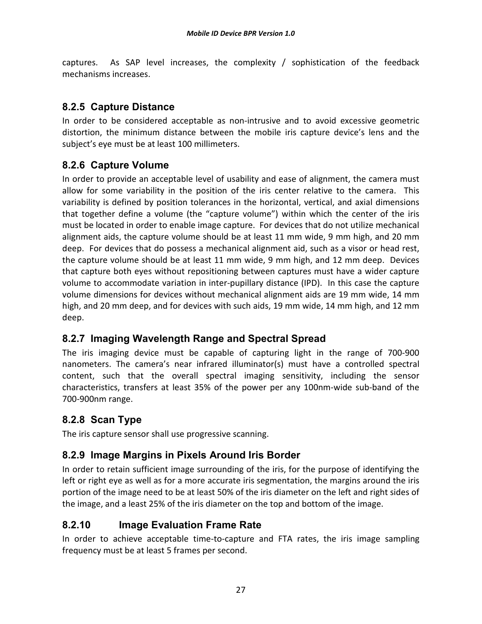captures. As SAP level increases, the complexity / sophistication of the feedback mechanisms increases.

#### **8.2.5 Capture Distance**

In order to be considered acceptable as non-intrusive and to avoid excessive geometric distortion, the minimum distance between the mobile iris capture device's lens and the subject's eye must be at least 100 millimeters.

### **8.2.6 Capture Volume**

In order to provide an acceptable level of usability and ease of alignment, the camera must allow for some variability in the position of the iris center relative to the camera. This variability is defined by position tolerances in the horizontal, vertical, and axial dimensions that together define a volume (the "capture volume") within which the center of the iris must be located in order to enable image capture. For devices that do not utilize mechanical alignment aids, the capture volume should be at least 11 mm wide, 9 mm high, and 20 mm deep. For devices that do possess a mechanical alignment aid, such as a visor or head rest, the capture volume should be at least 11 mm wide, 9 mm high, and 12 mm deep. Devices that capture both eyes without repositioning between captures must have a wider capture volume to accommodate variation in inter-pupillary distance (IPD). In this case the capture volume dimensions for devices without mechanical alignment aids are 19 mm wide, 14 mm high, and 20 mm deep, and for devices with such aids, 19 mm wide, 14 mm high, and 12 mm deep.

#### **8.2.7 Imaging Wavelength Range and Spectral Spread**

The iris imaging device must be capable of capturing light in the range of 700-900 nanometers. The camera's near infrared illuminator(s) must have a controlled spectral content, such that the overall spectral imaging sensitivity, including the sensor characteristics, transfers at least 35% of the power per any 100nm-wide sub-band of the 700-900nm range.

# **8.2.8 Scan Type**

The iris capture sensor shall use progressive scanning.

#### **8.2.9 Image Margins in Pixels Around Iris Border**

In order to retain sufficient image surrounding of the iris, for the purpose of identifying the left or right eye as well as for a more accurate iris segmentation, the margins around the iris portion of the image need to be at least 50% of the iris diameter on the left and right sides of the image, and a least 25% of the iris diameter on the top and bottom of the image.

#### **8.2.10 Image Evaluation Frame Rate**

In order to achieve acceptable time-to-capture and FTA rates, the iris image sampling frequency must be at least 5 frames per second.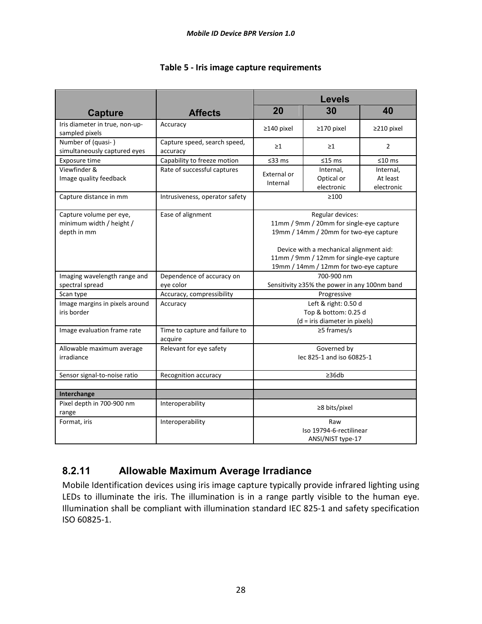|                                                                                                |                                           | <b>Levels</b>                                                                                                                 |                                              |                                     |  |
|------------------------------------------------------------------------------------------------|-------------------------------------------|-------------------------------------------------------------------------------------------------------------------------------|----------------------------------------------|-------------------------------------|--|
| <b>Capture</b>                                                                                 | <b>Affects</b>                            | 20                                                                                                                            | 30                                           | 40                                  |  |
| Iris diameter in true, non-up-<br>sampled pixels                                               | Accuracy                                  | $\geq$ 140 pixel                                                                                                              | ≥170 pixel                                   | $\geq$ 210 pixel                    |  |
| Number of (quasi-)<br>Capture speed, search speed,<br>simultaneously captured eyes<br>accuracy |                                           | $\geq$ 1                                                                                                                      | $\geq$ 1                                     | $\overline{2}$                      |  |
| Exposure time                                                                                  | Capability to freeze motion               | ≤33 ms                                                                                                                        | $≤15$ ms                                     | $≤10$ ms                            |  |
| Viewfinder &<br>Image quality feedback                                                         | Rate of successful captures               | External or<br>Internal                                                                                                       | Internal,<br>Optical or<br>electronic        | Internal,<br>At least<br>electronic |  |
| Capture distance in mm                                                                         | Intrusiveness, operator safety            |                                                                                                                               | $\geq 100$                                   |                                     |  |
| Capture volume per eye,<br>minimum width / height /<br>depth in mm                             | Ease of alignment                         | Regular devices:<br>11mm / 9mm / 20mm for single-eye capture<br>19mm / 14mm / 20mm for two-eye capture                        |                                              |                                     |  |
|                                                                                                |                                           | Device with a mechanical alignment aid:<br>11mm / 9mm / 12mm for single-eye capture<br>19mm / 14mm / 12mm for two-eye capture |                                              |                                     |  |
| Imaging wavelength range and                                                                   | Dependence of accuracy on                 | 700-900 nm                                                                                                                    |                                              |                                     |  |
| spectral spread                                                                                | eye color                                 |                                                                                                                               | Sensitivity ≥35% the power in any 100nm band |                                     |  |
| Scan type                                                                                      | Accuracy, compressibility                 | Progressive                                                                                                                   |                                              |                                     |  |
| Image margins in pixels around<br>iris border                                                  | Accuracy                                  | Left & right: 0.50 d<br>Top & bottom: 0.25 d<br>(d = iris diameter in pixels)                                                 |                                              |                                     |  |
| Image evaluation frame rate                                                                    | Time to capture and failure to<br>acquire | $\geq$ 5 frames/s                                                                                                             |                                              |                                     |  |
| Allowable maximum average<br>irradiance                                                        | Relevant for eye safety                   | Governed by<br>lec 825-1 and iso 60825-1                                                                                      |                                              |                                     |  |
| Sensor signal-to-noise ratio                                                                   | Recognition accuracy                      | $\geq 36db$                                                                                                                   |                                              |                                     |  |
| Interchange                                                                                    |                                           |                                                                                                                               |                                              |                                     |  |
| Pixel depth in 700-900 nm<br>range                                                             | Interoperability                          | ≥8 bits/pixel                                                                                                                 |                                              |                                     |  |
| Format, iris<br>Interoperability                                                               |                                           | Raw<br>Iso 19794-6-rectilinear<br>ANSI/NIST type-17                                                                           |                                              |                                     |  |

#### **Table 5 - Iris image capture requirements**

# **8.2.11 Allowable Maximum Average Irradiance**

Mobile Identification devices using iris image capture typically provide infrared lighting using LEDs to illuminate the iris. The illumination is in a range partly visible to the human eye. Illumination shall be compliant with illumination standard IEC 825-1 and safety specification ISO 60825-1.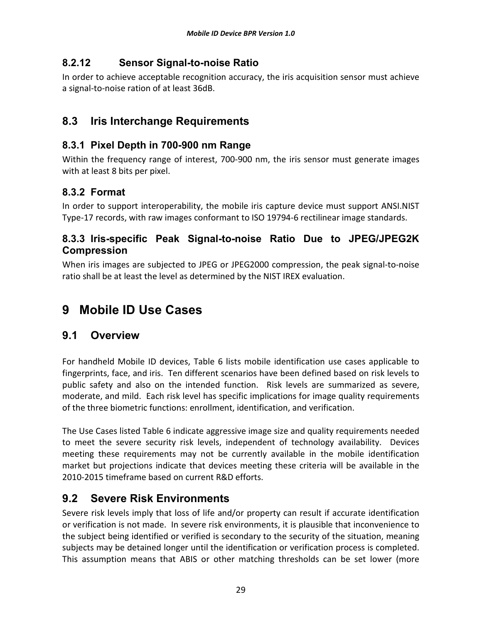#### **8.2.12 Sensor Signal-to-noise Ratio**

In order to achieve acceptable recognition accuracy, the iris acquisition sensor must achieve a signal-to-noise ration of at least 36dB.

# **8.3 Iris Interchange Requirements**

#### **8.3.1 Pixel Depth in 700-900 nm Range**

Within the frequency range of interest, 700-900 nm, the iris sensor must generate images with at least 8 bits per pixel.

# **8.3.2 Format**

In order to support interoperability, the mobile iris capture device must support ANSI.NIST Type-17 records, with raw images conformant to ISO 19794-6 rectilinear image standards.

#### **8.3.3 Iris-specific Peak Signal-to-noise Ratio Due to JPEG/JPEG2K Compression**

When iris images are subjected to JPEG or JPEG2000 compression, the peak signal-to-noise ratio shall be at least the level as determined by the NIST IREX evaluation.

# **9 Mobile ID Use Cases**

# **9.1 Overview**

For handheld Mobile ID devices, Table 6 lists mobile identification use cases applicable to fingerprints, face, and iris. Ten different scenarios have been defined based on risk levels to public safety and also on the intended function. Risk levels are summarized as severe, moderate, and mild. Each risk level has specific implications for image quality requirements of the three biometric functions: enrollment, identification, and verification.

The Use Cases listed Table 6 indicate aggressive image size and quality requirements needed to meet the severe security risk levels, independent of technology availability. Devices meeting these requirements may not be currently available in the mobile identification market but projections indicate that devices meeting these criteria will be available in the 2010-2015 timeframe based on current R&D efforts.

# **9.2 Severe Risk Environments**

Severe risk levels imply that loss of life and/or property can result if accurate identification or verification is not made. In severe risk environments, it is plausible that inconvenience to the subject being identified or verified is secondary to the security of the situation, meaning subjects may be detained longer until the identification or verification process is completed. This assumption means that ABIS or other matching thresholds can be set lower (more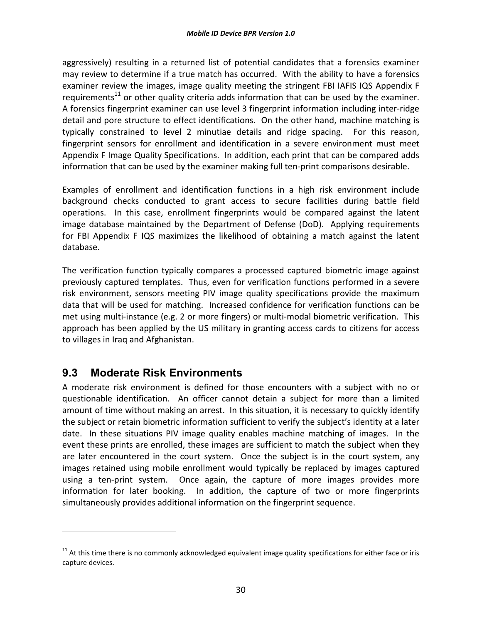aggressively) resulting in a returned list of potential candidates that a forensics examiner may review to determine if a true match has occurred. With the ability to have a forensics examiner review the images, image quality meeting the stringent FBI IAFIS IQS Appendix F requirements<sup>11</sup> or other quality criteria adds information that can be used by the examiner. A forensics fingerprint examiner can use level 3 fingerprint information including inter-ridge detail and pore structure to effect identifications. On the other hand, machine matching is typically constrained to level 2 minutiae details and ridge spacing. For this reason, fingerprint sensors for enrollment and identification in a severe environment must meet Appendix F Image Quality Specifications. In addition, each print that can be compared adds information that can be used by the examiner making full ten-print comparisons desirable.

Examples of enrollment and identification functions in a high risk environment include background checks conducted to grant access to secure facilities during battle field operations. In this case, enrollment fingerprints would be compared against the latent image database maintained by the Department of Defense (DoD). Applying requirements for FBI Appendix F IQS maximizes the likelihood of obtaining a match against the latent database.

The verification function typically compares a processed captured biometric image against previously captured templates. Thus, even for verification functions performed in a severe risk environment, sensors meeting PIV image quality specifications provide the maximum data that will be used for matching. Increased confidence for verification functions can be met using multi-instance (e.g. 2 or more fingers) or multi-modal biometric verification. This approach has been applied by the US military in granting access cards to citizens for access to villages in Iraq and Afghanistan.

#### **9.3 Moderate Risk Environments**

l

A moderate risk environment is defined for those encounters with a subject with no or questionable identification. An officer cannot detain a subject for more than a limited amount of time without making an arrest. In this situation, it is necessary to quickly identify the subject or retain biometric information sufficient to verify the subject's identity at a later date. In these situations PIV image quality enables machine matching of images. In the event these prints are enrolled, these images are sufficient to match the subject when they are later encountered in the court system. Once the subject is in the court system, any images retained using mobile enrollment would typically be replaced by images captured using a ten-print system. Once again, the capture of more images provides more information for later booking. In addition, the capture of two or more fingerprints simultaneously provides additional information on the fingerprint sequence.

 $11$  At this time there is no commonly acknowledged equivalent image quality specifications for either face or iris capture devices.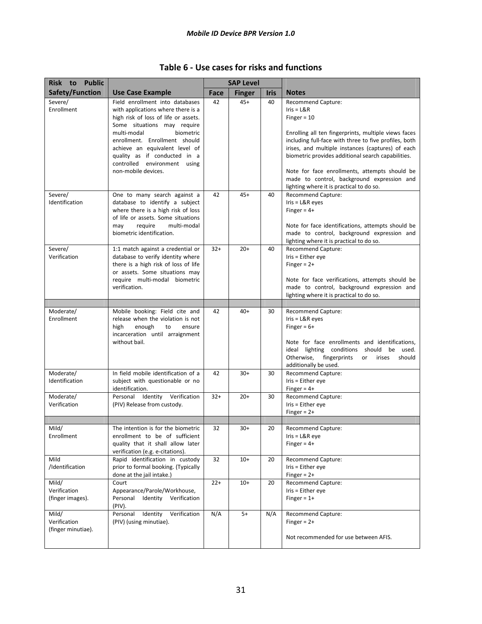| <b>Public</b><br>Risk to                    |                                                                                                                                                                                                                                                                                                                                    |             | <b>SAP Level</b> |             |                                                                                                                                                                                                                                                                                                                                                                                                                                   |
|---------------------------------------------|------------------------------------------------------------------------------------------------------------------------------------------------------------------------------------------------------------------------------------------------------------------------------------------------------------------------------------|-------------|------------------|-------------|-----------------------------------------------------------------------------------------------------------------------------------------------------------------------------------------------------------------------------------------------------------------------------------------------------------------------------------------------------------------------------------------------------------------------------------|
| Safety/Function                             | <b>Use Case Example</b>                                                                                                                                                                                                                                                                                                            | <b>Face</b> | <b>Finger</b>    | <b>Iris</b> | <b>Notes</b>                                                                                                                                                                                                                                                                                                                                                                                                                      |
| Severe/<br>Enrollment                       | Field enrollment into databases<br>with applications where there is a<br>high risk of loss of life or assets.<br>Some situations may require<br>multi-modal<br>biometric<br>enrollment. Enrollment should<br>achieve an equivalent level of<br>quality as if conducted in a<br>controlled environment using<br>non-mobile devices. | 42          | 45+              | 40          | <b>Recommend Capture:</b><br>$Iris = L&R$<br>Finger = $10$<br>Enrolling all ten fingerprints, multiple views faces<br>including full-face with three to five profiles, both<br>irises, and multiple instances (captures) of each<br>biometric provides additional search capabilities.<br>Note for face enrollments, attempts should be<br>made to control, background expression and<br>lighting where it is practical to do so. |
| Severe/<br>Identification                   | One to many search against a<br>database to identify a subject<br>where there is a high risk of loss<br>of life or assets. Some situations<br>require<br>multi-modal<br>may<br>biometric identification.                                                                                                                           | 42          | $45+$            | 40          | <b>Recommend Capture:</b><br>$Iris = L&R$ eyes<br>Finger = $4+$<br>Note for face identifications, attempts should be<br>made to control, background expression and<br>lighting where it is practical to do so.                                                                                                                                                                                                                    |
| Severe/<br>Verification                     | 1:1 match against a credential or<br>database to verify identity where<br>there is a high risk of loss of life<br>or assets. Some situations may<br>require multi-modal biometric<br>verification.                                                                                                                                 | $32+$       | $20+$            | 40          | <b>Recommend Capture:</b><br>Iris = Either eye<br>Finger = $2+$<br>Note for face verifications, attempts should be<br>made to control, background expression and<br>lighting where it is practical to do so.                                                                                                                                                                                                                      |
|                                             |                                                                                                                                                                                                                                                                                                                                    |             |                  |             |                                                                                                                                                                                                                                                                                                                                                                                                                                   |
| Moderate/<br>Enrollment                     | Mobile booking: Field cite and<br>release when the violation is not<br>high<br>enough<br>to<br>ensure<br>incarceration until arraignment<br>without bail.                                                                                                                                                                          | 42          | $40+$            | 30          | Recommend Capture:<br>$Iris = L&R$ eyes<br>Finger = $6+$<br>Note for face enrollments and identifications,<br>ideal lighting conditions should be used.<br>Otherwise,<br>fingerprints<br>irises<br>should<br>or<br>additionally be used.                                                                                                                                                                                          |
| Moderate/<br>Identification                 | In field mobile identification of a<br>subject with questionable or no<br>identification.                                                                                                                                                                                                                                          | 42          | $30+$            | 30          | <b>Recommend Capture:</b><br>Iris = Either eye<br>Finger = $4+$                                                                                                                                                                                                                                                                                                                                                                   |
| Moderate/<br>Verification                   | Personal Identity Verification<br>(PIV) Release from custody.                                                                                                                                                                                                                                                                      | $32+$       | $20+$            | 30          | <b>Recommend Capture:</b><br>$Iris = Either eye$<br>Finger = $2+$                                                                                                                                                                                                                                                                                                                                                                 |
|                                             |                                                                                                                                                                                                                                                                                                                                    |             |                  |             |                                                                                                                                                                                                                                                                                                                                                                                                                                   |
| Mild/<br>Enrollment                         | The intention is for the biometric<br>enrollment to be of sufficient<br>quality that it shall allow later<br>verification (e.g. e-citations).                                                                                                                                                                                      | 32          | $30+$            | 20          | <b>Recommend Capture:</b><br>$Iris = L&Reye$<br>Finger = $4+$                                                                                                                                                                                                                                                                                                                                                                     |
| Mild<br>/Identification                     | Rapid identification in custody<br>prior to formal booking. (Typically<br>done at the jail intake.)                                                                                                                                                                                                                                | 32          | $10+$            | 20          | Recommend Capture:<br>Iris = Either eye<br>Finger = $2+$                                                                                                                                                                                                                                                                                                                                                                          |
| Mild/<br>Verification<br>(finger images).   | Court<br>Appearance/Parole/Workhouse,<br>Personal<br>Identity<br>Verification<br>(PIV).                                                                                                                                                                                                                                            | $22+$       | $10+$            | 20          | <b>Recommend Capture:</b><br>Iris = Either eye<br>Finger = $1+$                                                                                                                                                                                                                                                                                                                                                                   |
| Mild/<br>Verification<br>(finger minutiae). | Verification<br>Personal<br>Identity<br>(PIV) (using minutiae).                                                                                                                                                                                                                                                                    | N/A         | $5+$             | N/A         | Recommend Capture:<br>Finger = $2+$<br>Not recommended for use between AFIS.                                                                                                                                                                                                                                                                                                                                                      |

#### **Table 6 - Use cases for risks and functions**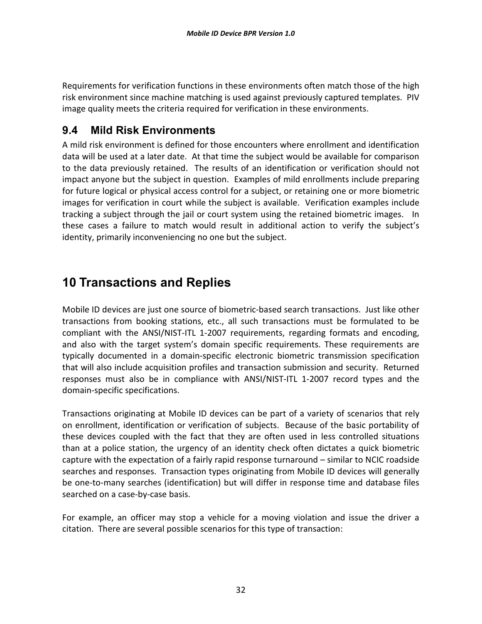Requirements for verification functions in these environments often match those of the high risk environment since machine matching is used against previously captured templates. PIV image quality meets the criteria required for verification in these environments.

### **9.4 Mild Risk Environments**

A mild risk environment is defined for those encounters where enrollment and identification data will be used at a later date. At that time the subject would be available for comparison to the data previously retained. The results of an identification or verification should not impact anyone but the subject in question. Examples of mild enrollments include preparing for future logical or physical access control for a subject, or retaining one or more biometric images for verification in court while the subject is available. Verification examples include tracking a subject through the jail or court system using the retained biometric images. In these cases a failure to match would result in additional action to verify the subject's identity, primarily inconveniencing no one but the subject.

# **10 Transactions and Replies**

Mobile ID devices are just one source of biometric-based search transactions. Just like other transactions from booking stations, etc., all such transactions must be formulated to be compliant with the ANSI/NIST-ITL 1-2007 requirements, regarding formats and encoding, and also with the target system's domain specific requirements. These requirements are typically documented in a domain-specific electronic biometric transmission specification that will also include acquisition profiles and transaction submission and security. Returned responses must also be in compliance with ANSI/NIST-ITL 1-2007 record types and the domain-specific specifications.

Transactions originating at Mobile ID devices can be part of a variety of scenarios that rely on enrollment, identification or verification of subjects. Because of the basic portability of these devices coupled with the fact that they are often used in less controlled situations than at a police station, the urgency of an identity check often dictates a quick biometric capture with the expectation of a fairly rapid response turnaround – similar to NCIC roadside searches and responses. Transaction types originating from Mobile ID devices will generally be one-to-many searches (identification) but will differ in response time and database files searched on a case-by-case basis.

For example, an officer may stop a vehicle for a moving violation and issue the driver a citation. There are several possible scenarios for this type of transaction: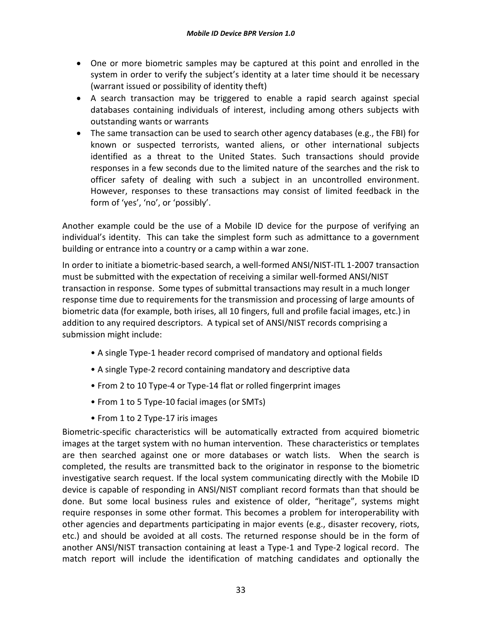- One or more biometric samples may be captured at this point and enrolled in the system in order to verify the subject's identity at a later time should it be necessary (warrant issued or possibility of identity theft)
- A search transaction may be triggered to enable a rapid search against special databases containing individuals of interest, including among others subjects with outstanding wants or warrants
- The same transaction can be used to search other agency databases (e.g., the FBI) for known or suspected terrorists, wanted aliens, or other international subjects identified as a threat to the United States. Such transactions should provide responses in a few seconds due to the limited nature of the searches and the risk to officer safety of dealing with such a subject in an uncontrolled environment. However, responses to these transactions may consist of limited feedback in the form of 'yes', 'no', or 'possibly'.

Another example could be the use of a Mobile ID device for the purpose of verifying an individual's identity. This can take the simplest form such as admittance to a government building or entrance into a country or a camp within a war zone.

In order to initiate a biometric-based search, a well-formed ANSI/NIST-ITL 1-2007 transaction must be submitted with the expectation of receiving a similar well-formed ANSI/NIST transaction in response. Some types of submittal transactions may result in a much longer response time due to requirements for the transmission and processing of large amounts of biometric data (for example, both irises, all 10 fingers, full and profile facial images, etc.) in addition to any required descriptors. A typical set of ANSI/NIST records comprising a submission might include:

- A single Type-1 header record comprised of mandatory and optional fields
- A single Type-2 record containing mandatory and descriptive data
- From 2 to 10 Type-4 or Type-14 flat or rolled fingerprint images
- From 1 to 5 Type-10 facial images (or SMTs)
- From 1 to 2 Type-17 iris images

Biometric-specific characteristics will be automatically extracted from acquired biometric images at the target system with no human intervention. These characteristics or templates are then searched against one or more databases or watch lists. When the search is completed, the results are transmitted back to the originator in response to the biometric investigative search request. If the local system communicating directly with the Mobile ID device is capable of responding in ANSI/NIST compliant record formats than that should be done. But some local business rules and existence of older, "heritage", systems might require responses in some other format. This becomes a problem for interoperability with other agencies and departments participating in major events (e.g., disaster recovery, riots, etc.) and should be avoided at all costs. The returned response should be in the form of another ANSI/NIST transaction containing at least a Type-1 and Type-2 logical record. The match report will include the identification of matching candidates and optionally the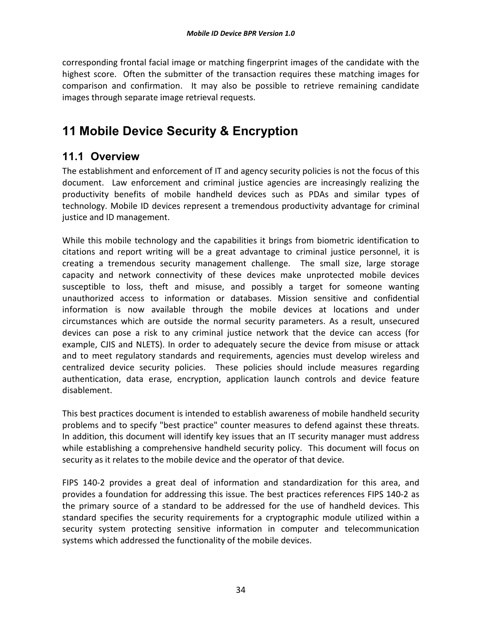corresponding frontal facial image or matching fingerprint images of the candidate with the highest score. Often the submitter of the transaction requires these matching images for comparison and confirmation. It may also be possible to retrieve remaining candidate images through separate image retrieval requests.

# **11 Mobile Device Security & Encryption**

### **11.1 Overview**

The establishment and enforcement of IT and agency security policies is not the focus of this document. Law enforcement and criminal justice agencies are increasingly realizing the productivity benefits of mobile handheld devices such as PDAs and similar types of technology. Mobile ID devices represent a tremendous productivity advantage for criminal justice and ID management.

While this mobile technology and the capabilities it brings from biometric identification to citations and report writing will be a great advantage to criminal justice personnel, it is creating a tremendous security management challenge. The small size, large storage capacity and network connectivity of these devices make unprotected mobile devices susceptible to loss, theft and misuse, and possibly a target for someone wanting unauthorized access to information or databases. Mission sensitive and confidential information is now available through the mobile devices at locations and under circumstances which are outside the normal security parameters. As a result, unsecured devices can pose a risk to any criminal justice network that the device can access (for example, CJIS and NLETS). In order to adequately secure the device from misuse or attack and to meet regulatory standards and requirements, agencies must develop wireless and centralized device security policies. These policies should include measures regarding authentication, data erase, encryption, application launch controls and device feature disablement.

This best practices document is intended to establish awareness of mobile handheld security problems and to specify "best practice" counter measures to defend against these threats. In addition, this document will identify key issues that an IT security manager must address while establishing a comprehensive handheld security policy. This document will focus on security as it relates to the mobile device and the operator of that device.

FIPS 140-2 provides a great deal of information and standardization for this area, and provides a foundation for addressing this issue. The best practices references FIPS 140-2 as the primary source of a standard to be addressed for the use of handheld devices. This standard specifies the security requirements for a cryptographic module utilized within a security system protecting sensitive information in computer and telecommunication systems which addressed the functionality of the mobile devices.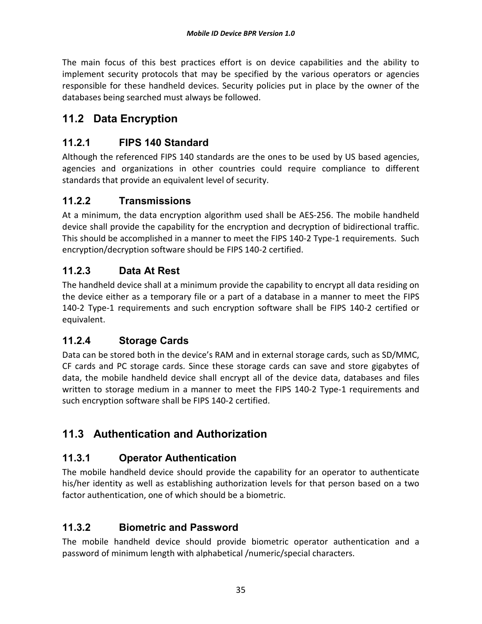The main focus of this best practices effort is on device capabilities and the ability to implement security protocols that may be specified by the various operators or agencies responsible for these handheld devices. Security policies put in place by the owner of the databases being searched must always be followed.

# **11.2 Data Encryption**

#### **11.2.1 FIPS 140 Standard**

Although the referenced FIPS 140 standards are the ones to be used by US based agencies, agencies and organizations in other countries could require compliance to different standards that provide an equivalent level of security.

#### **11.2.2 Transmissions**

At a minimum, the data encryption algorithm used shall be AES-256. The mobile handheld device shall provide the capability for the encryption and decryption of bidirectional traffic. This should be accomplished in a manner to meet the FIPS 140-2 Type-1 requirements. Such encryption/decryption software should be FIPS 140-2 certified.

#### **11.2.3 Data At Rest**

The handheld device shall at a minimum provide the capability to encrypt all data residing on the device either as a temporary file or a part of a database in a manner to meet the FIPS 140-2 Type-1 requirements and such encryption software shall be FIPS 140-2 certified or equivalent.

#### **11.2.4 Storage Cards**

Data can be stored both in the device's RAM and in external storage cards, such as SD/MMC, CF cards and PC storage cards. Since these storage cards can save and store gigabytes of data, the mobile handheld device shall encrypt all of the device data, databases and files written to storage medium in a manner to meet the FIPS 140-2 Type-1 requirements and such encryption software shall be FIPS 140-2 certified.

# **11.3 Authentication and Authorization**

#### **11.3.1 Operator Authentication**

The mobile handheld device should provide the capability for an operator to authenticate his/her identity as well as establishing authorization levels for that person based on a two factor authentication, one of which should be a biometric.

#### **11.3.2 Biometric and Password**

The mobile handheld device should provide biometric operator authentication and a password of minimum length with alphabetical /numeric/special characters.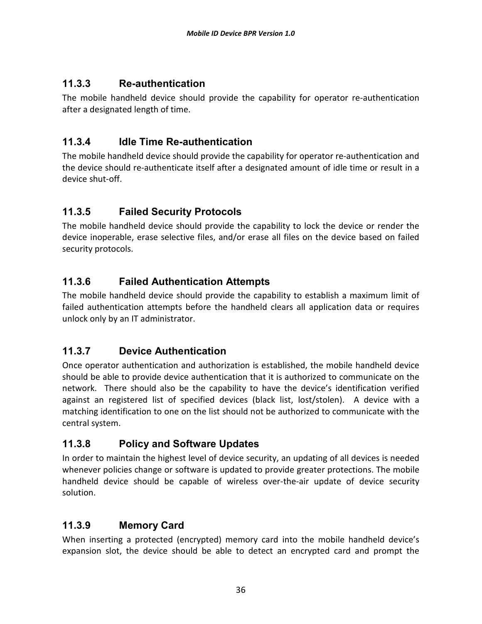### **11.3.3 Re-authentication**

The mobile handheld device should provide the capability for operator re-authentication after a designated length of time.

### **11.3.4 Idle Time Re-authentication**

The mobile handheld device should provide the capability for operator re-authentication and the device should re-authenticate itself after a designated amount of idle time or result in a device shut-off.

# **11.3.5 Failed Security Protocols**

The mobile handheld device should provide the capability to lock the device or render the device inoperable, erase selective files, and/or erase all files on the device based on failed security protocols.

### **11.3.6 Failed Authentication Attempts**

The mobile handheld device should provide the capability to establish a maximum limit of failed authentication attempts before the handheld clears all application data or requires unlock only by an IT administrator.

# **11.3.7 Device Authentication**

Once operator authentication and authorization is established, the mobile handheld device should be able to provide device authentication that it is authorized to communicate on the network. There should also be the capability to have the device's identification verified against an registered list of specified devices (black list, lost/stolen). A device with a matching identification to one on the list should not be authorized to communicate with the central system.

#### **11.3.8 Policy and Software Updates**

In order to maintain the highest level of device security, an updating of all devices is needed whenever policies change or software is updated to provide greater protections. The mobile handheld device should be capable of wireless over-the-air update of device security solution.

#### **11.3.9 Memory Card**

When inserting a protected (encrypted) memory card into the mobile handheld device's expansion slot, the device should be able to detect an encrypted card and prompt the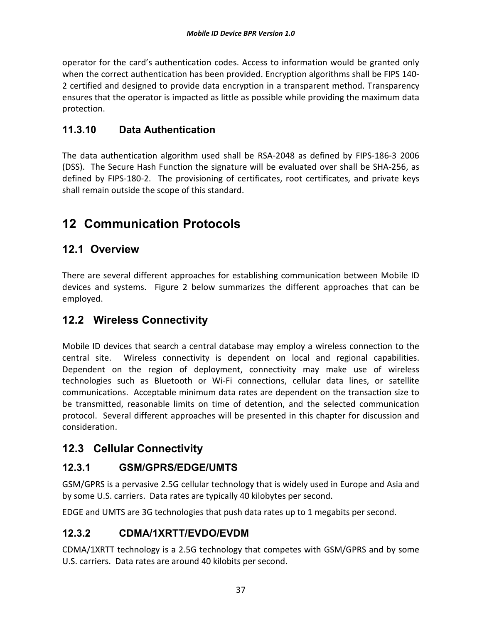operator for the card's authentication codes. Access to information would be granted only when the correct authentication has been provided. Encryption algorithms shall be FIPS 140- 2 certified and designed to provide data encryption in a transparent method. Transparency ensures that the operator is impacted as little as possible while providing the maximum data protection.

### **11.3.10 Data Authentication**

The data authentication algorithm used shall be RSA-2048 as defined by FIPS-186-3 2006 (DSS). The Secure Hash Function the signature will be evaluated over shall be SHA-256, as defined by FIPS-180-2. The provisioning of certificates, root certificates, and private keys shall remain outside the scope of this standard.

# **12 Communication Protocols**

# **12.1 Overview**

There are several different approaches for establishing communication between Mobile ID devices and systems. Figure 2 below summarizes the different approaches that can be employed.

# **12.2 Wireless Connectivity**

Mobile ID devices that search a central database may employ a wireless connection to the central site. Wireless connectivity is dependent on local and regional capabilities. Dependent on the region of deployment, connectivity may make use of wireless technologies such as Bluetooth or Wi-Fi connections, cellular data lines, or satellite communications. Acceptable minimum data rates are dependent on the transaction size to be transmitted, reasonable limits on time of detention, and the selected communication protocol. Several different approaches will be presented in this chapter for discussion and consideration.

# **12.3 Cellular Connectivity**

#### **12.3.1 GSM/GPRS/EDGE/UMTS**

GSM/GPRS is a pervasive 2.5G cellular technology that is widely used in Europe and Asia and by some U.S. carriers. Data rates are typically 40 kilobytes per second.

EDGE and UMTS are 3G technologies that push data rates up to 1 megabits per second.

#### **12.3.2 CDMA/1XRTT/EVDO/EVDM**

CDMA/1XRTT technology is a 2.5G technology that competes with GSM/GPRS and by some U.S. carriers. Data rates are around 40 kilobits per second.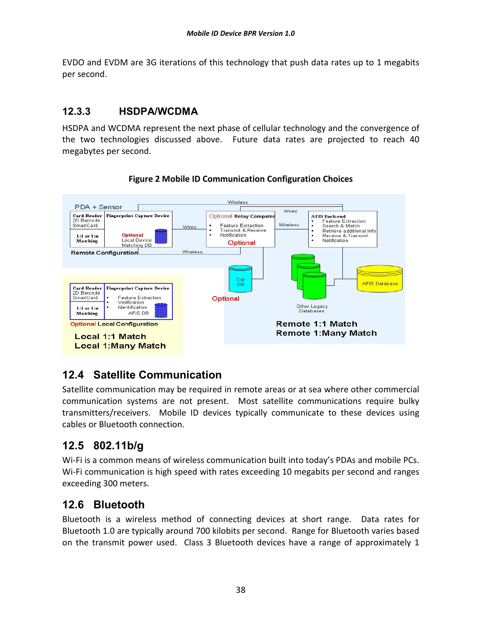EVDO and EVDM are 3G iterations of this technology that push data rates up to 1 megabits per second.

### **12.3.3 HSDPA/WCDMA**

HSDPA and WCDMA represent the next phase of cellular technology and the convergence of the two technologies discussed above. Future data rates are projected to reach 40 megabytes per second.



#### **Figure 2 Mobile ID Communication Configuration Choices**

# **12.4 Satellite Communication**

Satellite communication may be required in remote areas or at sea where other commercial communication systems are not present. Most satellite communications require bulky transmitters/receivers. Mobile ID devices typically communicate to these devices using cables or Bluetooth connection.

# **12.5 802.11b/g**

Wi-Fi is a common means of wireless communication built into today's PDAs and mobile PCs. Wi-Fi communication is high speed with rates exceeding 10 megabits per second and ranges exceeding 300 meters.

# **12.6 Bluetooth**

Bluetooth is a wireless method of connecting devices at short range. Data rates for Bluetooth 1.0 are typically around 700 kilobits per second. Range for Bluetooth varies based on the transmit power used. Class 3 Bluetooth devices have a range of approximately 1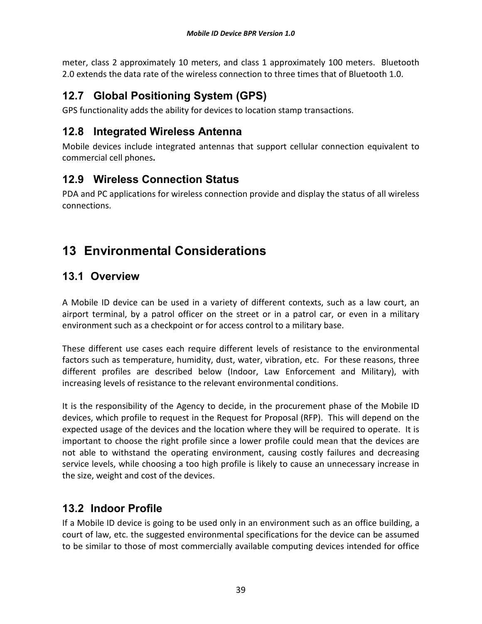meter, class 2 approximately 10 meters, and class 1 approximately 100 meters. Bluetooth 2.0 extends the data rate of the wireless connection to three times that of Bluetooth 1.0.

# **12.7 Global Positioning System (GPS)**

GPS functionality adds the ability for devices to location stamp transactions.

# **12.8 Integrated Wireless Antenna**

Mobile devices include integrated antennas that support cellular connection equivalent to commercial cell phones**.**

# **12.9 Wireless Connection Status**

PDA and PC applications for wireless connection provide and display the status of all wireless connections.

# **13 Environmental Considerations**

# **13.1 Overview**

A Mobile ID device can be used in a variety of different contexts, such as a law court, an airport terminal, by a patrol officer on the street or in a patrol car, or even in a military environment such as a checkpoint or for access control to a military base.

These different use cases each require different levels of resistance to the environmental factors such as temperature, humidity, dust, water, vibration, etc. For these reasons, three different profiles are described below (Indoor, Law Enforcement and Military), with increasing levels of resistance to the relevant environmental conditions.

It is the responsibility of the Agency to decide, in the procurement phase of the Mobile ID devices, which profile to request in the Request for Proposal (RFP). This will depend on the expected usage of the devices and the location where they will be required to operate. It is important to choose the right profile since a lower profile could mean that the devices are not able to withstand the operating environment, causing costly failures and decreasing service levels, while choosing a too high profile is likely to cause an unnecessary increase in the size, weight and cost of the devices.

# **13.2 Indoor Profile**

If a Mobile ID device is going to be used only in an environment such as an office building, a court of law, etc. the suggested environmental specifications for the device can be assumed to be similar to those of most commercially available computing devices intended for office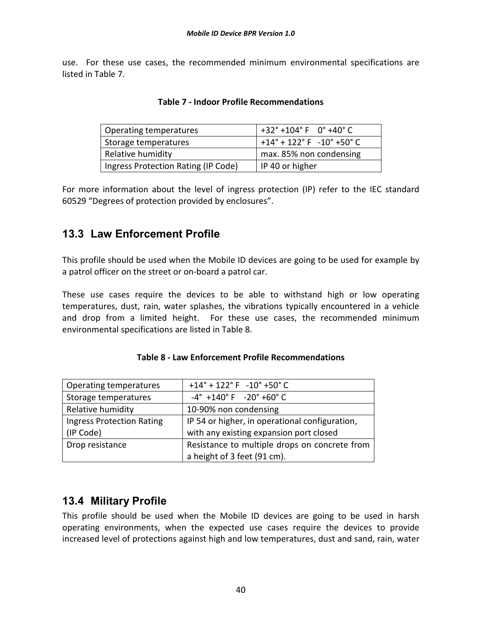use. For these use cases, the recommended minimum environmental specifications are listed in Table 7.

| Operating temperatures              | $+32^{\circ}$ +104° F 0° +40° C             |
|-------------------------------------|---------------------------------------------|
| Storage temperatures                | $+14^{\circ}$ + 122° F $-10^{\circ}$ +50° C |
| Relative humidity                   | max. 85% non condensing                     |
| Ingress Protection Rating (IP Code) | IP 40 or higher                             |

|  | <b>Table 7 - Indoor Profile Recommendations</b> |  |
|--|-------------------------------------------------|--|
|--|-------------------------------------------------|--|

For more information about the level of ingress protection (IP) refer to the IEC standard 60529 "Degrees of protection provided by enclosures".

# **13.3 Law Enforcement Profile**

This profile should be used when the Mobile ID devices are going to be used for example by a patrol officer on the street or on-board a patrol car.

These use cases require the devices to be able to withstand high or low operating temperatures, dust, rain, water splashes, the vibrations typically encountered in a vehicle and drop from a limited height. For these use cases, the recommended minimum environmental specifications are listed in Table 8.

| Operating temperatures           | $+14^{\circ}$ + 122° F -10° +50° C                            |
|----------------------------------|---------------------------------------------------------------|
| Storage temperatures             | $-4^{\circ}$ +140 $^{\circ}$ F $-20^{\circ}$ +60 $^{\circ}$ C |
| Relative humidity                | 10-90% non condensing                                         |
| <b>Ingress Protection Rating</b> | IP 54 or higher, in operational configuration,                |
| (IP Code)                        | with any existing expansion port closed                       |
| Drop resistance                  | Resistance to multiple drops on concrete from                 |
|                                  | a height of 3 feet (91 cm).                                   |

#### **Table 8 - Law Enforcement Profile Recommendations**

#### **13.4 Military Profile**

This profile should be used when the Mobile ID devices are going to be used in harsh operating environments, when the expected use cases require the devices to provide increased level of protections against high and low temperatures, dust and sand, rain, water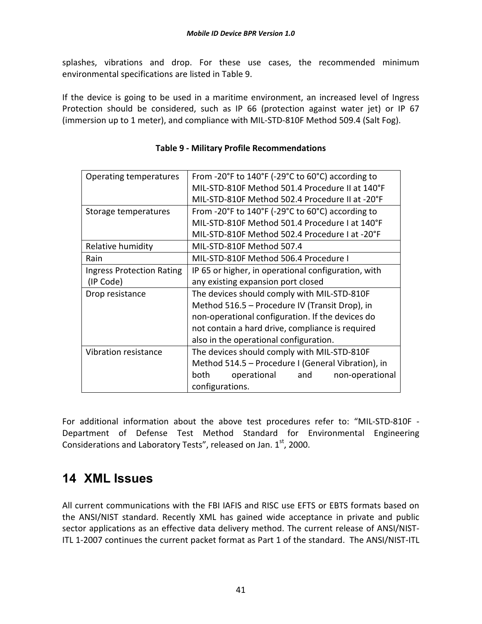splashes, vibrations and drop. For these use cases, the recommended minimum environmental specifications are listed in Table 9.

If the device is going to be used in a maritime environment, an increased level of Ingress Protection should be considered, such as IP 66 (protection against water jet) or IP 67 (immersion up to 1 meter), and compliance with MIL-STD-810F Method 509.4 (Salt Fog).

| Operating temperatures           | From -20 $\degree$ F to 140 $\degree$ F (-29 $\degree$ C to 60 $\degree$ C) according to |  |  |  |
|----------------------------------|------------------------------------------------------------------------------------------|--|--|--|
|                                  | MIL-STD-810F Method 501.4 Procedure II at 140°F                                          |  |  |  |
|                                  | MIL-STD-810F Method 502.4 Procedure II at -20°F                                          |  |  |  |
| Storage temperatures             | From -20 $\degree$ F to 140 $\degree$ F (-29 $\degree$ C to 60 $\degree$ C) according to |  |  |  |
|                                  | MIL-STD-810F Method 501.4 Procedure I at 140°F                                           |  |  |  |
|                                  | MIL-STD-810F Method 502.4 Procedure I at -20°F                                           |  |  |  |
| Relative humidity                | MIL-STD-810F Method 507.4                                                                |  |  |  |
| Rain                             | MIL-STD-810F Method 506.4 Procedure I                                                    |  |  |  |
| <b>Ingress Protection Rating</b> | IP 65 or higher, in operational configuration, with                                      |  |  |  |
| (IP Code)                        | any existing expansion port closed                                                       |  |  |  |
| Drop resistance                  | The devices should comply with MIL-STD-810F                                              |  |  |  |
|                                  | Method 516.5 - Procedure IV (Transit Drop), in                                           |  |  |  |
|                                  | non-operational configuration. If the devices do                                         |  |  |  |
|                                  | not contain a hard drive, compliance is required                                         |  |  |  |
|                                  | also in the operational configuration.                                                   |  |  |  |
| Vibration resistance             | The devices should comply with MIL-STD-810F                                              |  |  |  |
|                                  | Method 514.5 - Procedure I (General Vibration), in                                       |  |  |  |
|                                  | both<br>operational<br>and<br>non-operational                                            |  |  |  |
|                                  | configurations.                                                                          |  |  |  |

#### **Table 9 - Military Profile Recommendations**

For additional information about the above test procedures refer to: "MIL-STD-810F - Department of Defense Test Method Standard for Environmental Engineering Considerations and Laboratory Tests", released on Jan.  $1<sup>st</sup>$ , 2000.

# **14 XML Issues**

All current communications with the FBI IAFIS and RISC use EFTS or EBTS formats based on the ANSI/NIST standard. Recently XML has gained wide acceptance in private and public sector applications as an effective data delivery method. The current release of ANSI/NIST-ITL 1-2007 continues the current packet format as Part 1 of the standard. The ANSI/NIST-ITL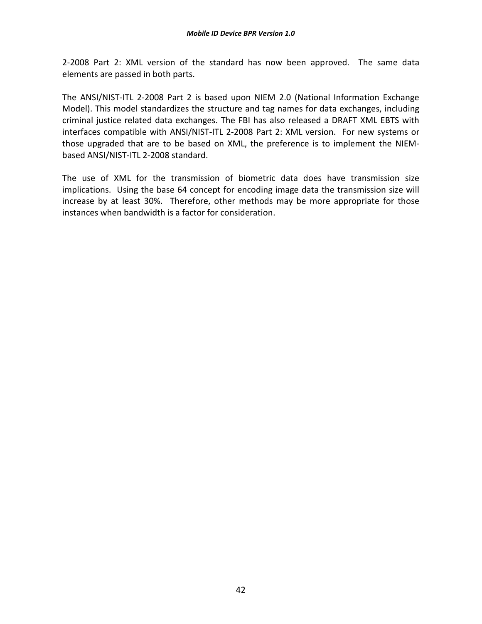2-2008 Part 2: XML version of the standard has now been approved. The same data elements are passed in both parts.

The ANSI/NIST-ITL 2-2008 Part 2 is based upon NIEM 2.0 (National Information Exchange Model). This model standardizes the structure and tag names for data exchanges, including criminal justice related data exchanges. The FBI has also released a DRAFT XML EBTS with interfaces compatible with ANSI/NIST-ITL 2-2008 Part 2: XML version. For new systems or those upgraded that are to be based on XML, the preference is to implement the NIEMbased ANSI/NIST-ITL 2-2008 standard.

The use of XML for the transmission of biometric data does have transmission size implications. Using the base 64 concept for encoding image data the transmission size will increase by at least 30%. Therefore, other methods may be more appropriate for those instances when bandwidth is a factor for consideration.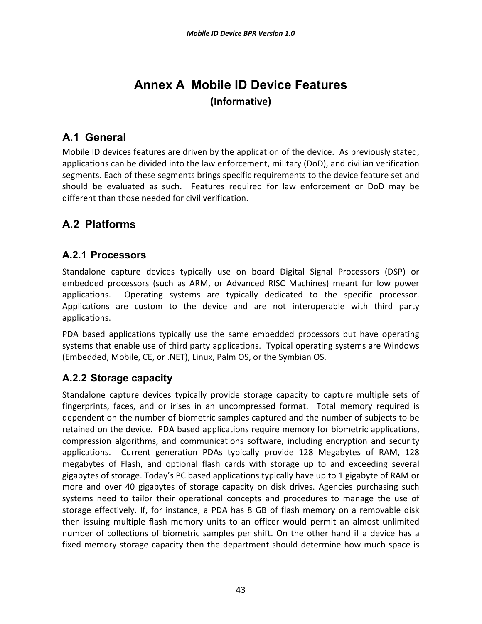# **Annex A Mobile ID Device Features (Informative)**

# **A.1 General**

Mobile ID devices features are driven by the application of the device. As previously stated, applications can be divided into the law enforcement, military (DoD), and civilian verification segments. Each of these segments brings specific requirements to the device feature set and should be evaluated as such. Features required for law enforcement or DoD may be different than those needed for civil verification.

# **A.2 Platforms**

### **A.2.1 Processors**

Standalone capture devices typically use on board Digital Signal Processors (DSP) or embedded processors (such as ARM, or Advanced RISC Machines) meant for low power applications. Operating systems are typically dedicated to the specific processor. Applications are custom to the device and are not interoperable with third party applications.

PDA based applications typically use the same embedded processors but have operating systems that enable use of third party applications. Typical operating systems are Windows (Embedded, Mobile, CE, or .NET), Linux, Palm OS, or the Symbian OS.

# **A.2.2 Storage capacity**

Standalone capture devices typically provide storage capacity to capture multiple sets of fingerprints, faces, and or irises in an uncompressed format. Total memory required is dependent on the number of biometric samples captured and the number of subjects to be retained on the device. PDA based applications require memory for biometric applications, compression algorithms, and communications software, including encryption and security applications. Current generation PDAs typically provide 128 Megabytes of RAM, 128 megabytes of Flash, and optional flash cards with storage up to and exceeding several gigabytes of storage. Today's PC based applications typically have up to 1 gigabyte of RAM or more and over 40 gigabytes of storage capacity on disk drives. Agencies purchasing such systems need to tailor their operational concepts and procedures to manage the use of storage effectively. If, for instance, a PDA has 8 GB of flash memory on a removable disk then issuing multiple flash memory units to an officer would permit an almost unlimited number of collections of biometric samples per shift. On the other hand if a device has a fixed memory storage capacity then the department should determine how much space is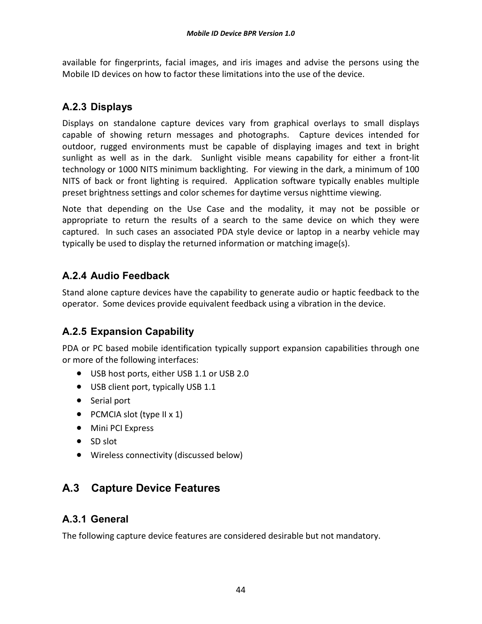available for fingerprints, facial images, and iris images and advise the persons using the Mobile ID devices on how to factor these limitations into the use of the device.

# **A.2.3 Displays**

Displays on standalone capture devices vary from graphical overlays to small displays capable of showing return messages and photographs. Capture devices intended for outdoor, rugged environments must be capable of displaying images and text in bright sunlight as well as in the dark. Sunlight visible means capability for either a front-lit technology or 1000 NITS minimum backlighting. For viewing in the dark, a minimum of 100 NITS of back or front lighting is required. Application software typically enables multiple preset brightness settings and color schemes for daytime versus nighttime viewing.

Note that depending on the Use Case and the modality, it may not be possible or appropriate to return the results of a search to the same device on which they were captured. In such cases an associated PDA style device or laptop in a nearby vehicle may typically be used to display the returned information or matching image(s).

# **A.2.4 Audio Feedback**

Stand alone capture devices have the capability to generate audio or haptic feedback to the operator. Some devices provide equivalent feedback using a vibration in the device.

# **A.2.5 Expansion Capability**

PDA or PC based mobile identification typically support expansion capabilities through one or more of the following interfaces:

- USB host ports, either USB 1.1 or USB 2.0
- USB client port, typically USB 1.1
- Serial port
- PCMCIA slot (type II x 1)
- Mini PCI Express
- SD slot
- Wireless connectivity (discussed below)

# **A.3 Capture Device Features**

#### **A.3.1 General**

The following capture device features are considered desirable but not mandatory.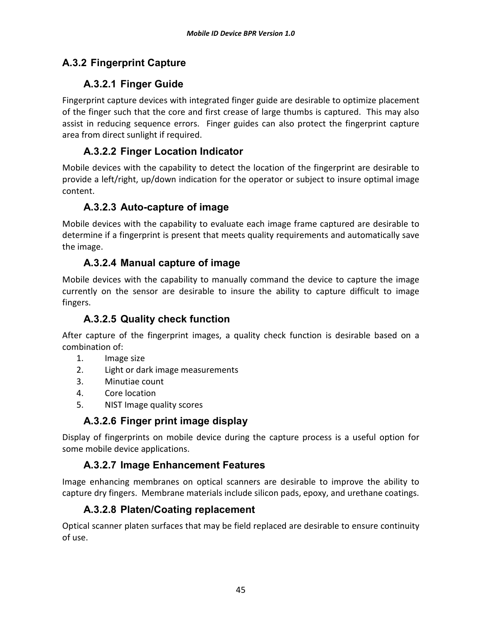# **A.3.2 Fingerprint Capture**

# **A.3.2.1 Finger Guide**

Fingerprint capture devices with integrated finger guide are desirable to optimize placement of the finger such that the core and first crease of large thumbs is captured. This may also assist in reducing sequence errors. Finger guides can also protect the fingerprint capture area from direct sunlight if required.

### **A.3.2.2 Finger Location Indicator**

Mobile devices with the capability to detect the location of the fingerprint are desirable to provide a left/right, up/down indication for the operator or subject to insure optimal image content.

### **A.3.2.3 Auto-capture of image**

Mobile devices with the capability to evaluate each image frame captured are desirable to determine if a fingerprint is present that meets quality requirements and automatically save the image.

### **A.3.2.4 Manual capture of image**

Mobile devices with the capability to manually command the device to capture the image currently on the sensor are desirable to insure the ability to capture difficult to image fingers.

# **A.3.2.5 Quality check function**

After capture of the fingerprint images, a quality check function is desirable based on a combination of:

- 1. Image size
- 2. Light or dark image measurements
- 3. Minutiae count
- 4. Core location
- 5. NIST Image quality scores

# **A.3.2.6 Finger print image display**

Display of fingerprints on mobile device during the capture process is a useful option for some mobile device applications.

# **A.3.2.7 Image Enhancement Features**

Image enhancing membranes on optical scanners are desirable to improve the ability to capture dry fingers. Membrane materials include silicon pads, epoxy, and urethane coatings.

#### **A.3.2.8 Platen/Coating replacement**

Optical scanner platen surfaces that may be field replaced are desirable to ensure continuity of use.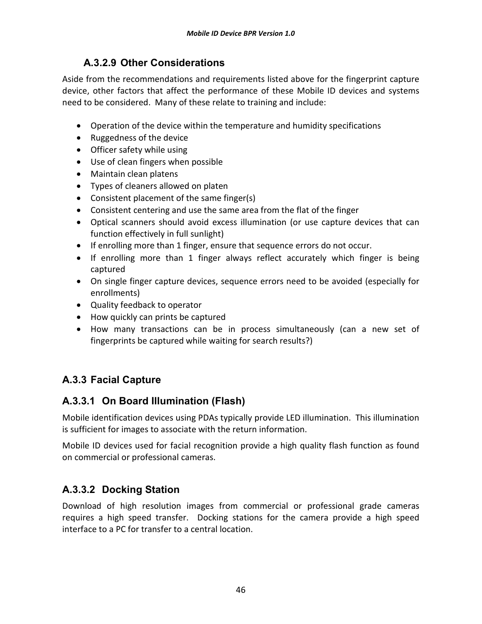### **A.3.2.9 Other Considerations**

Aside from the recommendations and requirements listed above for the fingerprint capture device, other factors that affect the performance of these Mobile ID devices and systems need to be considered. Many of these relate to training and include:

- Operation of the device within the temperature and humidity specifications
- Ruggedness of the device
- Officer safety while using
- Use of clean fingers when possible
- Maintain clean platens
- Types of cleaners allowed on platen
- Consistent placement of the same finger(s)
- Consistent centering and use the same area from the flat of the finger
- Optical scanners should avoid excess illumination (or use capture devices that can function effectively in full sunlight)
- If enrolling more than 1 finger, ensure that sequence errors do not occur.
- If enrolling more than 1 finger always reflect accurately which finger is being captured
- On single finger capture devices, sequence errors need to be avoided (especially for enrollments)
- Quality feedback to operator
- How quickly can prints be captured
- How many transactions can be in process simultaneously (can a new set of fingerprints be captured while waiting for search results?)

# **A.3.3 Facial Capture**

# **A.3.3.1 On Board Illumination (Flash)**

Mobile identification devices using PDAs typically provide LED illumination. This illumination is sufficient for images to associate with the return information.

Mobile ID devices used for facial recognition provide a high quality flash function as found on commercial or professional cameras.

# **A.3.3.2 Docking Station**

Download of high resolution images from commercial or professional grade cameras requires a high speed transfer. Docking stations for the camera provide a high speed interface to a PC for transfer to a central location.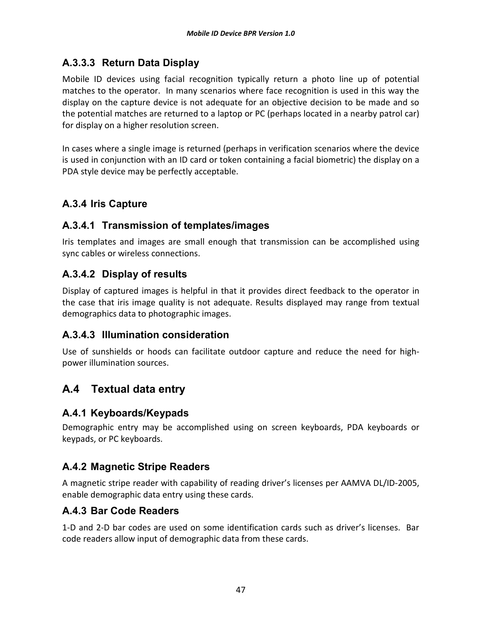# **A.3.3.3 Return Data Display**

Mobile ID devices using facial recognition typically return a photo line up of potential matches to the operator. In many scenarios where face recognition is used in this way the display on the capture device is not adequate for an objective decision to be made and so the potential matches are returned to a laptop or PC (perhaps located in a nearby patrol car) for display on a higher resolution screen.

In cases where a single image is returned (perhaps in verification scenarios where the device is used in conjunction with an ID card or token containing a facial biometric) the display on a PDA style device may be perfectly acceptable.

# **A.3.4 Iris Capture**

#### **A.3.4.1 Transmission of templates/images**

Iris templates and images are small enough that transmission can be accomplished using sync cables or wireless connections.

### **A.3.4.2 Display of results**

Display of captured images is helpful in that it provides direct feedback to the operator in the case that iris image quality is not adequate. Results displayed may range from textual demographics data to photographic images.

#### **A.3.4.3 Illumination consideration**

Use of sunshields or hoods can facilitate outdoor capture and reduce the need for highpower illumination sources.

# **A.4 Textual data entry**

#### **A.4.1 Keyboards/Keypads**

Demographic entry may be accomplished using on screen keyboards, PDA keyboards or keypads, or PC keyboards.

#### **A.4.2 Magnetic Stripe Readers**

A magnetic stripe reader with capability of reading driver's licenses per AAMVA DL/ID-2005, enable demographic data entry using these cards.

#### **A.4.3 Bar Code Readers**

1-D and 2-D bar codes are used on some identification cards such as driver's licenses. Bar code readers allow input of demographic data from these cards.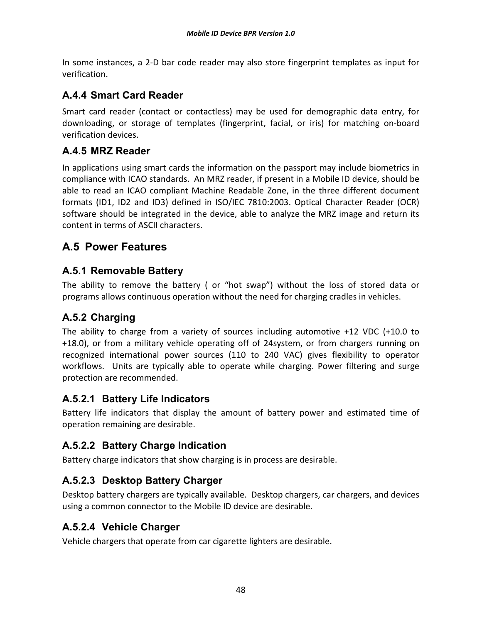In some instances, a 2-D bar code reader may also store fingerprint templates as input for verification.

#### **A.4.4 Smart Card Reader**

Smart card reader (contact or contactless) may be used for demographic data entry, for downloading, or storage of templates (fingerprint, facial, or iris) for matching on-board verification devices.

#### **A.4.5 MRZ Reader**

In applications using smart cards the information on the passport may include biometrics in compliance with ICAO standards. An MRZ reader, if present in a Mobile ID device, should be able to read an ICAO compliant Machine Readable Zone, in the three different document formats (ID1, ID2 and ID3) defined in ISO/IEC 7810:2003. Optical Character Reader (OCR) software should be integrated in the device, able to analyze the MRZ image and return its content in terms of ASCII characters.

# **A.5 Power Features**

#### **A.5.1 Removable Battery**

The ability to remove the battery ( or "hot swap") without the loss of stored data or programs allows continuous operation without the need for charging cradles in vehicles.

#### **A.5.2 Charging**

The ability to charge from a variety of sources including automotive +12 VDC (+10.0 to +18.0), or from a military vehicle operating off of 24system, or from chargers running on recognized international power sources (110 to 240 VAC) gives flexibility to operator workflows. Units are typically able to operate while charging. Power filtering and surge protection are recommended.

#### **A.5.2.1 Battery Life Indicators**

Battery life indicators that display the amount of battery power and estimated time of operation remaining are desirable.

# **A.5.2.2 Battery Charge Indication**

Battery charge indicators that show charging is in process are desirable.

#### **A.5.2.3 Desktop Battery Charger**

Desktop battery chargers are typically available. Desktop chargers, car chargers, and devices using a common connector to the Mobile ID device are desirable.

#### **A.5.2.4 Vehicle Charger**

Vehicle chargers that operate from car cigarette lighters are desirable.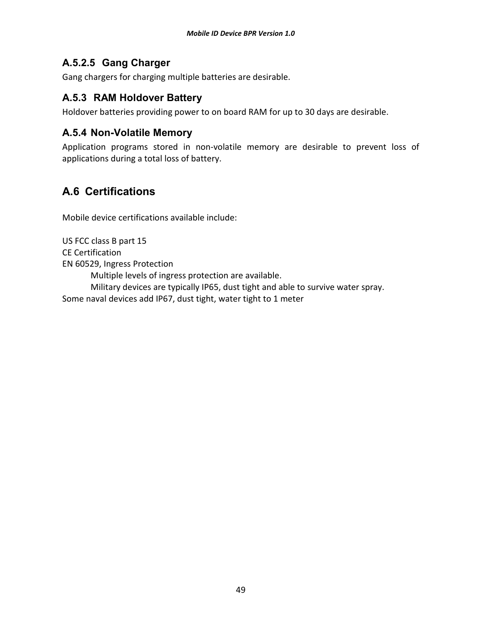#### **A.5.2.5 Gang Charger**

Gang chargers for charging multiple batteries are desirable.

#### **A.5.3 RAM Holdover Battery**

Holdover batteries providing power to on board RAM for up to 30 days are desirable.

#### **A.5.4 Non-Volatile Memory**

Application programs stored in non-volatile memory are desirable to prevent loss of applications during a total loss of battery.

# **A.6 Certifications**

Mobile device certifications available include:

US FCC class B part 15 CE Certification EN 60529, Ingress Protection Multiple levels of ingress protection are available. Military devices are typically IP65, dust tight and able to survive water spray. Some naval devices add IP67, dust tight, water tight to 1 meter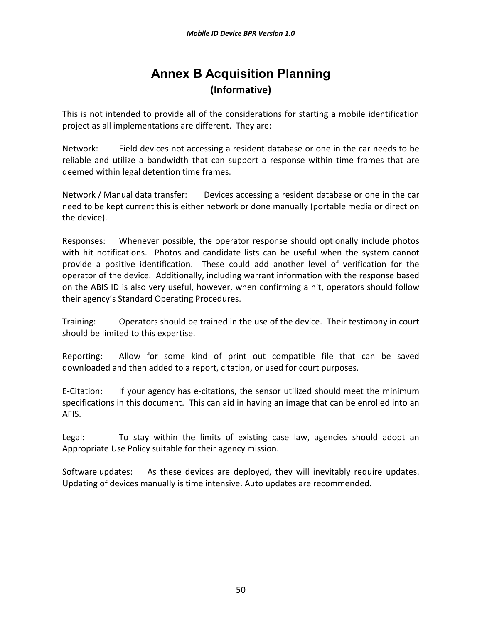# **Annex B Acquisition Planning (Informative)**

This is not intended to provide all of the considerations for starting a mobile identification project as all implementations are different. They are:

Network: Field devices not accessing a resident database or one in the car needs to be reliable and utilize a bandwidth that can support a response within time frames that are deemed within legal detention time frames.

Network / Manual data transfer: Devices accessing a resident database or one in the car need to be kept current this is either network or done manually (portable media or direct on the device).

Responses: Whenever possible, the operator response should optionally include photos with hit notifications. Photos and candidate lists can be useful when the system cannot provide a positive identification. These could add another level of verification for the operator of the device. Additionally, including warrant information with the response based on the ABIS ID is also very useful, however, when confirming a hit, operators should follow their agency's Standard Operating Procedures.

Training: Operators should be trained in the use of the device. Their testimony in court should be limited to this expertise.

Reporting: Allow for some kind of print out compatible file that can be saved downloaded and then added to a report, citation, or used for court purposes.

E-Citation: If your agency has e-citations, the sensor utilized should meet the minimum specifications in this document. This can aid in having an image that can be enrolled into an AFIS.

Legal: To stay within the limits of existing case law, agencies should adopt an Appropriate Use Policy suitable for their agency mission.

Software updates: As these devices are deployed, they will inevitably require updates. Updating of devices manually is time intensive. Auto updates are recommended.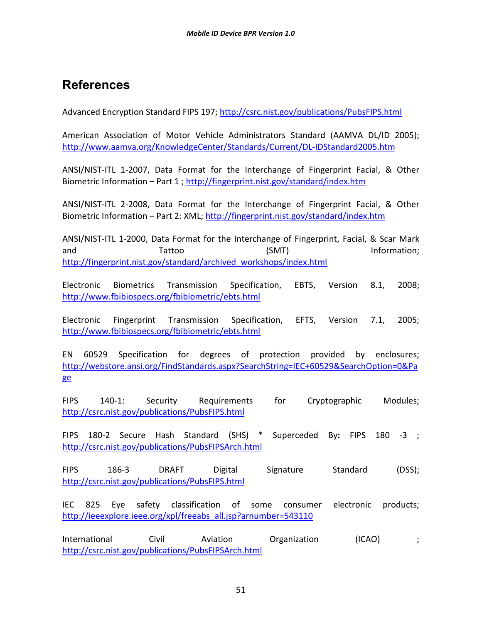# **References**

Advanced Encryption Standard FIPS 197; http://csrc.nist.gov/publications/PubsFIPS.html

American Association of Motor Vehicle Administrators Standard (AAMVA DL/ID 2005); http://www.aamva.org/KnowledgeCenter/Standards/Current/DL-IDStandard2005.htm

ANSI/NIST-ITL 1-2007, Data Format for the Interchange of Fingerprint Facial, & Other Biometric Information – Part 1; http://fingerprint.nist.gov/standard/index.htm

ANSI/NIST-ITL 2-2008, Data Format for the Interchange of Fingerprint Facial, & Other Biometric Information - Part 2: XML; http://fingerprint.nist.gov/standard/index.htm

ANSI/NIST-ITL 1-2000, Data Format for the Interchange of Fingerprint, Facial, & Scar Mark and Tattoo (SMT) Information; http://fingerprint.nist.gov/standard/archived\_workshops/index.html

Electronic Biometrics Transmission Specification, EBTS, Version 8.1, 2008; http://www.fbibiospecs.org/fbibiometric/ebts.html

Electronic Fingerprint Transmission Specification, EFTS, Version 7.1, 2005; http://www.fbibiospecs.org/fbibiometric/ebts.html

EN 60529 Specification for degrees of protection provided by enclosures; http://webstore.ansi.org/FindStandards.aspx?SearchString=IEC+60529&SearchOption=0&Pa ge

FIPS 140-1: Security Requirements for Cryptographic Modules; http://csrc.nist.gov/publications/PubsFIPS.html

FIPS 180-2 Secure Hash Standard (SHS) \* Superceded By**:** FIPS 180 -3 ; http://csrc.nist.gov/publications/PubsFIPSArch.html

FIPS 186-3 DRAFT Digital Signature Standard (DSS); http://csrc.nist.gov/publications/PubsFIPS.html

IEC 825 Eye safety classification of some consumer electronic products; http://ieeexplore.ieee.org/xpl/freeabs\_all.jsp?arnumber=543110

International Civil Aviation Organization (ICAO) ; http://csrc.nist.gov/publications/PubsFIPSArch.html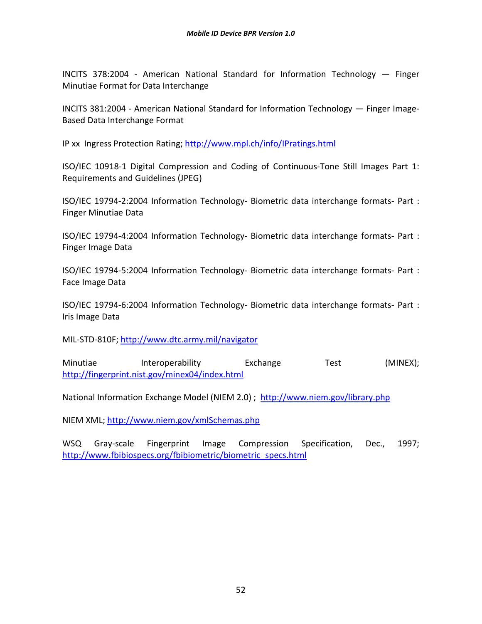INCITS 378:2004 - American National Standard for Information Technology — Finger Minutiae Format for Data Interchange

INCITS 381:2004 - American National Standard for Information Technology — Finger Image-Based Data Interchange Format

IP xx Ingress Protection Rating; http://www.mpl.ch/info/IPratings.html

ISO/IEC 10918-1 Digital Compression and Coding of Continuous-Tone Still Images Part 1: Requirements and Guidelines (JPEG)

ISO/IEC 19794-2:2004 Information Technology- Biometric data interchange formats- Part : Finger Minutiae Data

ISO/IEC 19794-4:2004 Information Technology- Biometric data interchange formats- Part : Finger Image Data

ISO/IEC 19794-5:2004 Information Technology- Biometric data interchange formats- Part : Face Image Data

ISO/IEC 19794-6:2004 Information Technology- Biometric data interchange formats- Part : Iris Image Data

MIL-STD-810F; http://www.dtc.army.mil/navigator

Minutiae Interoperability Exchange Test (MINEX); http://fingerprint.nist.gov/minex04/index.html

National Information Exchange Model (NIEM 2.0) ; http://www.niem.gov/library.php

NIEM XML; http://www.niem.gov/xmlSchemas.php

WSQ Gray-scale Fingerprint Image Compression Specification, Dec., 1997; http://www.fbibiospecs.org/fbibiometric/biometric\_specs.html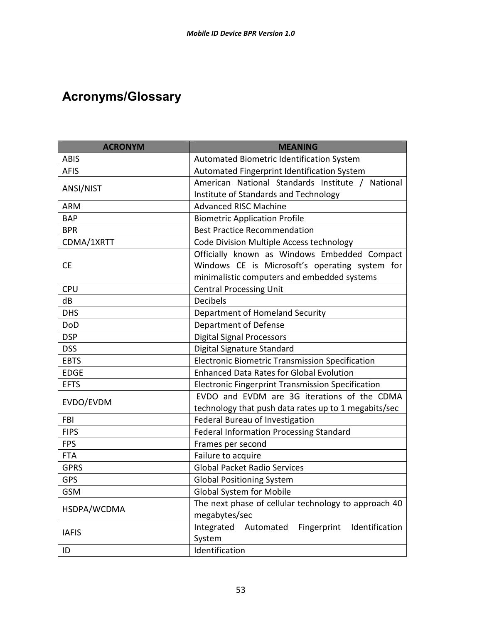# **Acronyms/Glossary**

| <b>ACRONYM</b> | <b>MEANING</b>                                           |  |  |
|----------------|----------------------------------------------------------|--|--|
| <b>ABIS</b>    | Automated Biometric Identification System                |  |  |
| <b>AFIS</b>    | Automated Fingerprint Identification System              |  |  |
|                | American National Standards Institute /<br>National      |  |  |
| ANSI/NIST      | Institute of Standards and Technology                    |  |  |
| <b>ARM</b>     | <b>Advanced RISC Machine</b>                             |  |  |
| <b>BAP</b>     | <b>Biometric Application Profile</b>                     |  |  |
| <b>BPR</b>     | <b>Best Practice Recommendation</b>                      |  |  |
| CDMA/1XRTT     | Code Division Multiple Access technology                 |  |  |
|                | Officially known as Windows Embedded Compact             |  |  |
| <b>CE</b>      | Windows CE is Microsoft's operating system for           |  |  |
|                | minimalistic computers and embedded systems              |  |  |
| <b>CPU</b>     | <b>Central Processing Unit</b>                           |  |  |
| dB             | <b>Decibels</b>                                          |  |  |
| <b>DHS</b>     | Department of Homeland Security                          |  |  |
| DoD            | Department of Defense                                    |  |  |
| <b>DSP</b>     | <b>Digital Signal Processors</b>                         |  |  |
| <b>DSS</b>     | Digital Signature Standard                               |  |  |
| <b>EBTS</b>    | <b>Electronic Biometric Transmission Specification</b>   |  |  |
| <b>EDGE</b>    | <b>Enhanced Data Rates for Global Evolution</b>          |  |  |
| <b>EFTS</b>    | <b>Electronic Fingerprint Transmission Specification</b> |  |  |
|                | EVDO and EVDM are 3G iterations of the CDMA              |  |  |
| EVDO/EVDM      | technology that push data rates up to 1 megabits/sec     |  |  |
| <b>FBI</b>     | Federal Bureau of Investigation                          |  |  |
| <b>FIPS</b>    | <b>Federal Information Processing Standard</b>           |  |  |
| <b>FPS</b>     | Frames per second                                        |  |  |
| <b>FTA</b>     | Failure to acquire                                       |  |  |
| <b>GPRS</b>    | <b>Global Packet Radio Services</b>                      |  |  |
| <b>GPS</b>     | <b>Global Positioning System</b>                         |  |  |
| <b>GSM</b>     | <b>Global System for Mobile</b>                          |  |  |
|                | The next phase of cellular technology to approach 40     |  |  |
| HSDPA/WCDMA    | megabytes/sec                                            |  |  |
|                | Fingerprint<br>Integrated<br>Automated<br>Identification |  |  |
| <b>IAFIS</b>   | System                                                   |  |  |
| ID             | Identification                                           |  |  |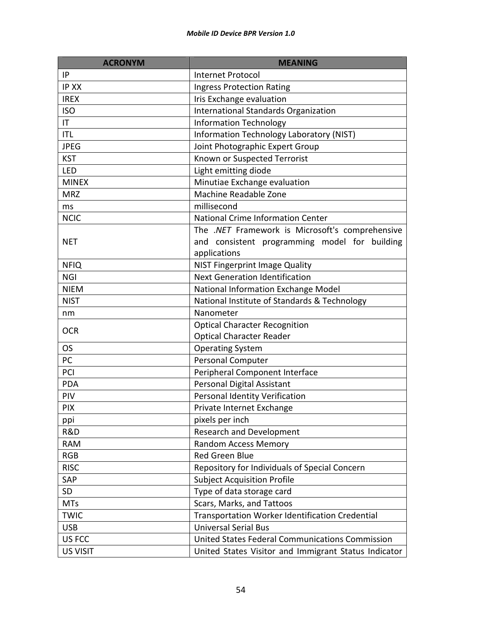| <b>ACRONYM</b>  | <b>MEANING</b>                                       |
|-----------------|------------------------------------------------------|
| IP              | <b>Internet Protocol</b>                             |
| <b>IP XX</b>    | <b>Ingress Protection Rating</b>                     |
| <b>IREX</b>     | Iris Exchange evaluation                             |
| <b>ISO</b>      | International Standards Organization                 |
| IT              | <b>Information Technology</b>                        |
| <b>ITL</b>      | Information Technology Laboratory (NIST)             |
| <b>JPEG</b>     | Joint Photographic Expert Group                      |
| <b>KST</b>      | Known or Suspected Terrorist                         |
| LED             | Light emitting diode                                 |
| <b>MINEX</b>    | Minutiae Exchange evaluation                         |
| <b>MRZ</b>      | Machine Readable Zone                                |
| ms              | millisecond                                          |
| <b>NCIC</b>     | <b>National Crime Information Center</b>             |
|                 | The .NET Framework is Microsoft's comprehensive      |
| <b>NET</b>      | and consistent programming model for building        |
|                 | applications                                         |
| <b>NFIQ</b>     | NIST Fingerprint Image Quality                       |
| <b>NGI</b>      | <b>Next Generation Identification</b>                |
| <b>NIEM</b>     | National Information Exchange Model                  |
| <b>NIST</b>     | National Institute of Standards & Technology         |
| nm              | Nanometer                                            |
|                 | <b>Optical Character Recognition</b>                 |
| <b>OCR</b>      | <b>Optical Character Reader</b>                      |
| <b>OS</b>       | <b>Operating System</b>                              |
| PC              | <b>Personal Computer</b>                             |
| PCI             | Peripheral Component Interface                       |
| <b>PDA</b>      | Personal Digital Assistant                           |
| PIV             | <b>Personal Identity Verification</b>                |
| <b>PIX</b>      | Private Internet Exchange                            |
| ppi             | pixels per inch                                      |
| R&D             | <b>Research and Development</b>                      |
| <b>RAM</b>      | <b>Random Access Memory</b>                          |
| <b>RGB</b>      | Red Green Blue                                       |
| <b>RISC</b>     | Repository for Individuals of Special Concern        |
| SAP             | <b>Subject Acquisition Profile</b>                   |
| SD              | Type of data storage card                            |
| <b>MTs</b>      | Scars, Marks, and Tattoos                            |
| <b>TWIC</b>     | Transportation Worker Identification Credential      |
| <b>USB</b>      | <b>Universal Serial Bus</b>                          |
| US FCC          | United States Federal Communications Commission      |
| <b>US VISIT</b> | United States Visitor and Immigrant Status Indicator |